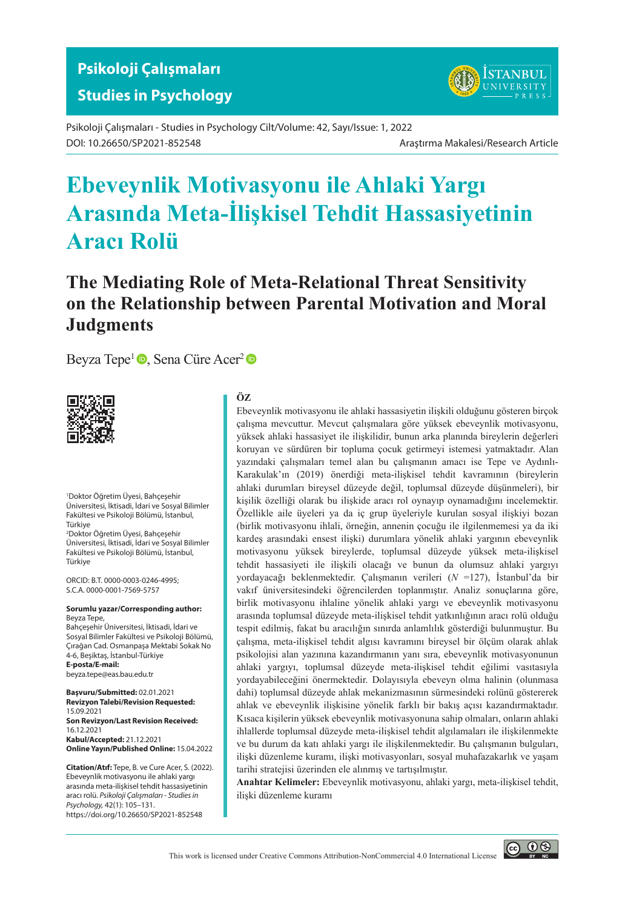

Psikoloji Çalışmaları - Studies in Psychology Cilt/Volume: 42, Sayı/Issue: 1, 2022 DOI: 10.26650/SP2021-852548 Araştırma Makalesi/Research Article

# **Ebeveynlik Motivasyonu ile Ahlaki Yargı Arasında Meta-İlişkisel Tehdit Hassasiyetinin Aracı Rolü**

## **The Mediating Role of Meta-Relational Threat Sensitivity on the Relationship between Parental Motivation and Moral Judgments**

Beyza Tepe<sup>1</sup> **.** Sena Cüre Acer<sup>2</sup> **.** 



1 Doktor Öğretim Üyesi, Bahçeşehir Üniversitesi, İktisadi, İdari ve Sosyal Bilimler Fakültesi ve Psikoloji Bölümü, İstanbul, Türkiye

2 Doktor Öğretim Üyesi, Bahçeşehir Üniversitesi, İktisadi, İdari ve Sosyal Bilimler Fakültesi ve Psikoloji Bölümü, İstanbul, Türkiye

ORCID: B.T. 0000-0003-0246-4995; S.C.A. 0000-0001-7569-5757

#### **Sorumlu yazar/Corresponding author:** Beyza Tepe,

Bahçeşehir Üniversitesi, İktisadi, İdari ve Sosyal Bilimler Fakültesi ve Psikoloji Bölümü, Çırağan Cad. Osmanpaşa Mektabi Sokak No 4-6, Beşiktaş, İstanbul-Türkiye **E-posta/E-mail:**

beyza.tepe@eas.bau.edu.tr

**Başvuru/Submitted:** 02.01.2021 **Revizyon Talebi/Revision Requested:** 15.09.2021 **Son Revizyon/Last Revision Received:** 16.12.2021 **Kabul/Accepted:** 21.12.2021 **Online Yayın/Published Online:** 15.04.2022

**Citation/Atıf:** Tepe, B. ve Cure Acer, S. (2022). Ebeveynlik motivasyonu ile ahlaki yargı arasında meta-ilişkisel tehdit hassasiyetinin aracı rolü. *Psikoloji Çalışmaları - Studies in Psychology,* 42(1): 105–131. https://doi.org/10.26650/SP2021-852548

#### **ÖZ**

Ebeveynlik motivasyonu ile ahlaki hassasiyetin ilişkili olduğunu gösteren birçok çalışma mevcuttur. Mevcut çalışmalara göre yüksek ebeveynlik motivasyonu, yüksek ahlaki hassasiyet ile ilişkilidir, bunun arka planında bireylerin değerleri koruyan ve sürdüren bir topluma çocuk getirmeyi istemesi yatmaktadır. Alan yazındaki çalışmaları temel alan bu çalışmanın amacı ise Tepe ve Aydınlı-Karakulak'ın (2019) önerdiği meta-ilişkisel tehdit kavramının (bireylerin ahlaki durumları bireysel düzeyde değil, toplumsal düzeyde düşünmeleri), bir kişilik özelliği olarak bu ilişkide aracı rol oynayıp oynamadığını incelemektir. Özellikle aile üyeleri ya da iç grup üyeleriyle kurulan sosyal ilişkiyi bozan (birlik motivasyonu ihlali, örneğin, annenin çocuğu ile ilgilenmemesi ya da iki kardeş arasındaki ensest ilişki) durumlara yönelik ahlaki yargının ebeveynlik motivasyonu yüksek bireylerde, toplumsal düzeyde yüksek meta-ilişkisel tehdit hassasiyeti ile ilişkili olacağı ve bunun da olumsuz ahlaki yargıyı yordayacağı beklenmektedir. Çalışmanın verileri (*N* =127), İstanbul'da bir vakıf üniversitesindeki öğrencilerden toplanmıştır. Analiz sonuçlarına göre, birlik motivasyonu ihlaline yönelik ahlaki yargı ve ebeveynlik motivasyonu arasında toplumsal düzeyde meta-ilişkisel tehdit yatkınlığının aracı rolü olduğu tespit edilmiş, fakat bu aracılığın sınırda anlamlılık gösterdiği bulunmuştur. Bu çalışma, meta-ilişkisel tehdit algısı kavramını bireysel bir ölçüm olarak ahlak psikolojisi alan yazınına kazandırmanın yanı sıra, ebeveynlik motivasyonunun ahlaki yargıyı, toplumsal düzeyde meta-ilişkisel tehdit eğilimi vasıtasıyla yordayabileceğini önermektedir. Dolayısıyla ebeveyn olma halinin (olunmasa dahi) toplumsal düzeyde ahlak mekanizmasının sürmesindeki rolünü göstererek ahlak ve ebeveynlik ilişkisine yönelik farklı bir bakış açısı kazandırmaktadır. Kısaca kişilerin yüksek ebeveynlik motivasyonuna sahip olmaları, onların ahlaki ihlallerde toplumsal düzeyde meta-ilişkisel tehdit algılamaları ile ilişkilenmekte ve bu durum da katı ahlaki yargı ile ilişkilenmektedir. Bu çalışmanın bulguları, ilişki düzenleme kuramı, ilişki motivasyonları, sosyal muhafazakarlık ve yaşam tarihi stratejisi üzerinden ele alınmış ve tartışılmıştır.

**Anahtar Kelimeler:** Ebeveynlik motivasyonu, ahlaki yargı, meta-ilişkisel tehdit, ilişki düzenleme kuramı

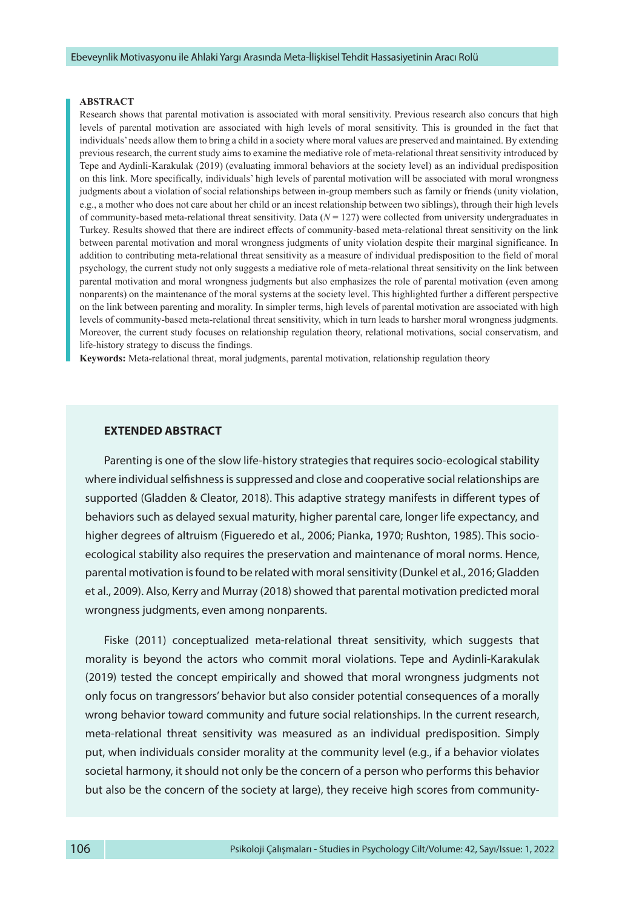#### **ABSTRACT**

Research shows that parental motivation is associated with moral sensitivity. Previous research also concurs that high levels of parental motivation are associated with high levels of moral sensitivity. This is grounded in the fact that individuals' needs allow them to bring a child in a society where moral values are preserved and maintained. By extending previous research, the current study aims to examine the mediative role of meta-relational threat sensitivity introduced by Tepe and Aydinli-Karakulak (2019) (evaluating immoral behaviors at the society level) as an individual predisposition on this link. More specifically, individuals' high levels of parental motivation will be associated with moral wrongness judgments about a violation of social relationships between in-group members such as family or friends (unity violation, e.g., a mother who does not care about her child or an incest relationship between two siblings), through their high levels of community-based meta-relational threat sensitivity. Data (*N* = 127) were collected from university undergraduates in Turkey. Results showed that there are indirect effects of community-based meta-relational threat sensitivity on the link between parental motivation and moral wrongness judgments of unity violation despite their marginal significance. In addition to contributing meta-relational threat sensitivity as a measure of individual predisposition to the field of moral psychology, the current study not only suggests a mediative role of meta-relational threat sensitivity on the link between parental motivation and moral wrongness judgments but also emphasizes the role of parental motivation (even among nonparents) on the maintenance of the moral systems at the society level. This highlighted further a different perspective on the link between parenting and morality. In simpler terms, high levels of parental motivation are associated with high levels of community-based meta-relational threat sensitivity, which in turn leads to harsher moral wrongness judgments. Moreover, the current study focuses on relationship regulation theory, relational motivations, social conservatism, and life-history strategy to discuss the findings.

**Keywords:** Meta-relational threat, moral judgments, parental motivation, relationship regulation theory

#### **EXTENDED ABSTRACT**

Parenting is one of the slow life-history strategies that requires socio-ecological stability where individual selfishness is suppressed and close and cooperative social relationships are supported (Gladden & Cleator, 2018). This adaptive strategy manifests in different types of behaviors such as delayed sexual maturity, higher parental care, longer life expectancy, and higher degrees of altruism (Figueredo et al., 2006; Pianka, 1970; Rushton, 1985). This socioecological stability also requires the preservation and maintenance of moral norms. Hence, parental motivation is found to be related with moral sensitivity (Dunkel et al., 2016; Gladden et al., 2009). Also, Kerry and Murray (2018) showed that parental motivation predicted moral wrongness judgments, even among nonparents.

Fiske (2011) conceptualized meta-relational threat sensitivity, which suggests that morality is beyond the actors who commit moral violations. Tepe and Aydinli-Karakulak (2019) tested the concept empirically and showed that moral wrongness judgments not only focus on trangressors' behavior but also consider potential consequences of a morally wrong behavior toward community and future social relationships. In the current research, meta-relational threat sensitivity was measured as an individual predisposition. Simply put, when individuals consider morality at the community level (e.g., if a behavior violates societal harmony, it should not only be the concern of a person who performs this behavior but also be the concern of the society at large), they receive high scores from community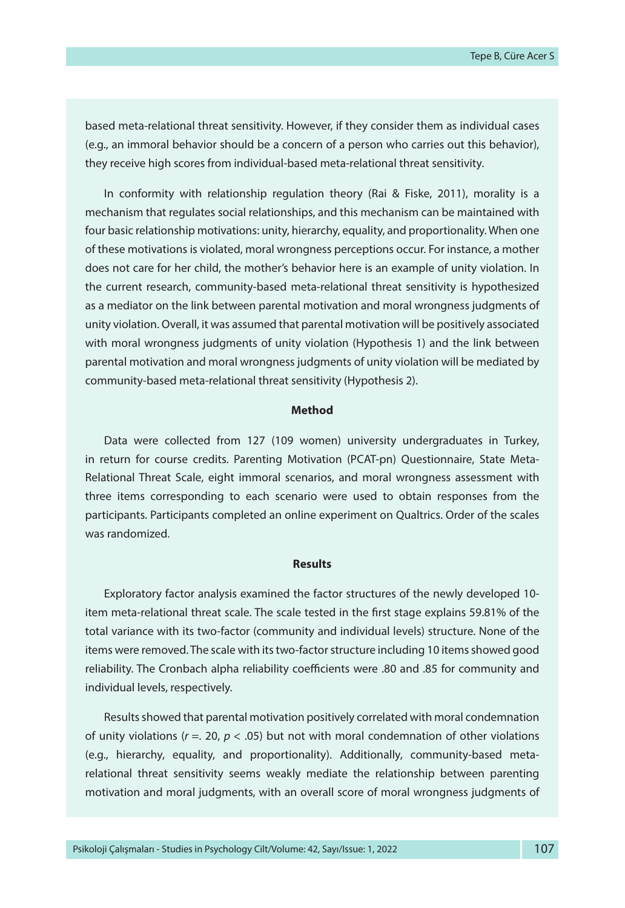based meta-relational threat sensitivity. However, if they consider them as individual cases (e.g., an immoral behavior should be a concern of a person who carries out this behavior), they receive high scores from individual-based meta-relational threat sensitivity.

In conformity with relationship regulation theory (Rai & Fiske, 2011), morality is a mechanism that regulates social relationships, and this mechanism can be maintained with four basic relationship motivations: unity, hierarchy, equality, and proportionality. When one of these motivations is violated, moral wrongness perceptions occur. For instance, a mother does not care for her child, the mother's behavior here is an example of unity violation. In the current research, community-based meta-relational threat sensitivity is hypothesized as a mediator on the link between parental motivation and moral wrongness judgments of unity violation. Overall, it was assumed that parental motivation will be positively associated with moral wrongness judgments of unity violation (Hypothesis 1) and the link between parental motivation and moral wrongness judgments of unity violation will be mediated by community-based meta-relational threat sensitivity (Hypothesis 2).

#### **Method**

Data were collected from 127 (109 women) university undergraduates in Turkey, in return for course credits. Parenting Motivation (PCAT-pn) Questionnaire, State Meta-Relational Threat Scale, eight immoral scenarios, and moral wrongness assessment with three items corresponding to each scenario were used to obtain responses from the participants. Participants completed an online experiment on Qualtrics. Order of the scales was randomized.

#### **Results**

Exploratory factor analysis examined the factor structures of the newly developed 10 item meta-relational threat scale. The scale tested in the first stage explains 59.81% of the total variance with its two-factor (community and individual levels) structure. None of the items were removed. The scale with its two-factor structure including 10 items showed good reliability. The Cronbach alpha reliability coefficients were .80 and .85 for community and individual levels, respectively.

Results showed that parental motivation positively correlated with moral condemnation of unity violations (*r* =. 20, *p* < .05) but not with moral condemnation of other violations (e.g., hierarchy, equality, and proportionality). Additionally, community-based metarelational threat sensitivity seems weakly mediate the relationship between parenting motivation and moral judgments, with an overall score of moral wrongness judgments of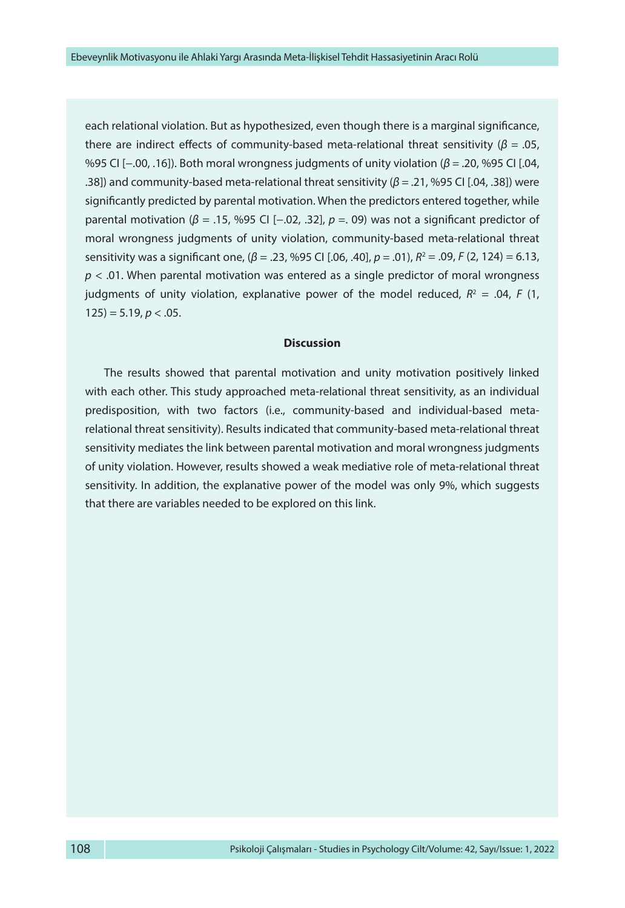each relational violation. But as hypothesized, even though there is a marginal significance, there are indirect effects of community-based meta-relational threat sensitivity (*β =* .05, %95 CI [−.00, .16]). Both moral wrongness judgments of unity violation (*β =* .20, %95 CI [.04, .38]) and community-based meta-relational threat sensitivity (*β =* .21, %95 CI [.04, .38]) were significantly predicted by parental motivation. When the predictors entered together, while parental motivation (*β* = .15, %95 CI [−.02, .32], *p =*. 09) was not a significant predictor of moral wrongness judgments of unity violation, community-based meta-relational threat sensitivity was a significant one, (*β* = .23, %95 CI [.06, .40], *p =* .01), *R*<sup>2</sup> = .09, *F* (2, 124) = 6.13, *p* < .01. When parental motivation was entered as a single predictor of moral wrongness judgments of unity violation, explanative power of the model reduced,  $R^2 = .04$ , F (1,  $125$ ) = 5.19, *p* < .05.

#### **Discussion**

The results showed that parental motivation and unity motivation positively linked with each other. This study approached meta-relational threat sensitivity, as an individual predisposition, with two factors (i.e., community-based and individual-based metarelational threat sensitivity). Results indicated that community-based meta-relational threat sensitivity mediates the link between parental motivation and moral wrongness judgments of unity violation. However, results showed a weak mediative role of meta-relational threat sensitivity. In addition, the explanative power of the model was only 9%, which suggests that there are variables needed to be explored on this link.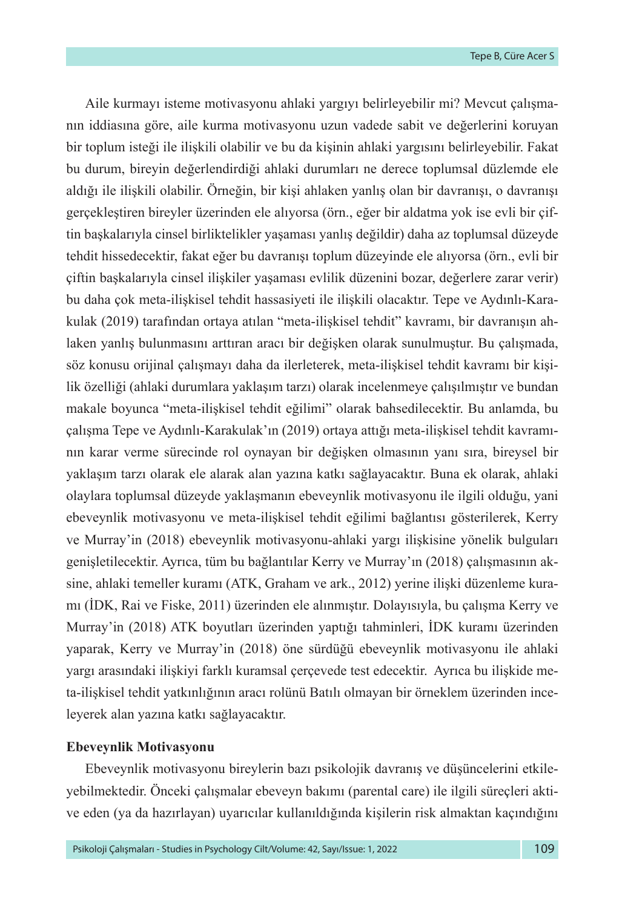Aile kurmayı isteme motivasyonu ahlaki yargıyı belirleyebilir mi? Mevcut çalışmanın iddiasına göre, aile kurma motivasyonu uzun vadede sabit ve değerlerini koruyan bir toplum isteği ile ilişkili olabilir ve bu da kişinin ahlaki yargısını belirleyebilir. Fakat bu durum, bireyin değerlendirdiği ahlaki durumları ne derece toplumsal düzlemde ele aldığı ile ilişkili olabilir. Örneğin, bir kişi ahlaken yanlış olan bir davranışı, o davranışı gerçekleştiren bireyler üzerinden ele alıyorsa (örn., eğer bir aldatma yok ise evli bir çiftin başkalarıyla cinsel birliktelikler yaşaması yanlış değildir) daha az toplumsal düzeyde tehdit hissedecektir, fakat eğer bu davranışı toplum düzeyinde ele alıyorsa (örn., evli bir çiftin başkalarıyla cinsel ilişkiler yaşaması evlilik düzenini bozar, değerlere zarar verir) bu daha çok meta-ilişkisel tehdit hassasiyeti ile ilişkili olacaktır. Tepe ve Aydınlı-Karakulak (2019) tarafından ortaya atılan "meta-ilişkisel tehdit" kavramı, bir davranışın ahlaken yanlış bulunmasını arttıran aracı bir değişken olarak sunulmuştur. Bu çalışmada, söz konusu orijinal çalışmayı daha da ilerleterek, meta-ilişkisel tehdit kavramı bir kişilik özelliği (ahlaki durumlara yaklaşım tarzı) olarak incelenmeye çalışılmıştır ve bundan makale boyunca "meta-ilişkisel tehdit eğilimi" olarak bahsedilecektir. Bu anlamda, bu çalışma Tepe ve Aydınlı-Karakulak'ın (2019) ortaya attığı meta-ilişkisel tehdit kavramının karar verme sürecinde rol oynayan bir değişken olmasının yanı sıra, bireysel bir yaklaşım tarzı olarak ele alarak alan yazına katkı sağlayacaktır. Buna ek olarak, ahlaki olaylara toplumsal düzeyde yaklaşmanın ebeveynlik motivasyonu ile ilgili olduğu, yani ebeveynlik motivasyonu ve meta-ilişkisel tehdit eğilimi bağlantısı gösterilerek, Kerry ve Murray'in (2018) ebeveynlik motivasyonu-ahlaki yargı ilişkisine yönelik bulguları genişletilecektir. Ayrıca, tüm bu bağlantılar Kerry ve Murray'ın (2018) çalışmasının aksine, ahlaki temeller kuramı (ATK, Graham ve ark., 2012) yerine ilişki düzenleme kuramı (İDK, Rai ve Fiske, 2011) üzerinden ele alınmıştır. Dolayısıyla, bu çalışma Kerry ve Murray'in (2018) ATK boyutları üzerinden yaptığı tahminleri, İDK kuramı üzerinden yaparak, Kerry ve Murray'in (2018) öne sürdüğü ebeveynlik motivasyonu ile ahlaki yargı arasındaki ilişkiyi farklı kuramsal çerçevede test edecektir. Ayrıca bu ilişkide meta-ilişkisel tehdit yatkınlığının aracı rolünü Batılı olmayan bir örneklem üzerinden inceleyerek alan yazına katkı sağlayacaktır.

## **Ebeveynlik Motivasyonu**

Ebeveynlik motivasyonu bireylerin bazı psikolojik davranış ve düşüncelerini etkileyebilmektedir. Önceki çalışmalar ebeveyn bakımı (parental care) ile ilgili süreçleri aktive eden (ya da hazırlayan) uyarıcılar kullanıldığında kişilerin risk almaktan kaçındığını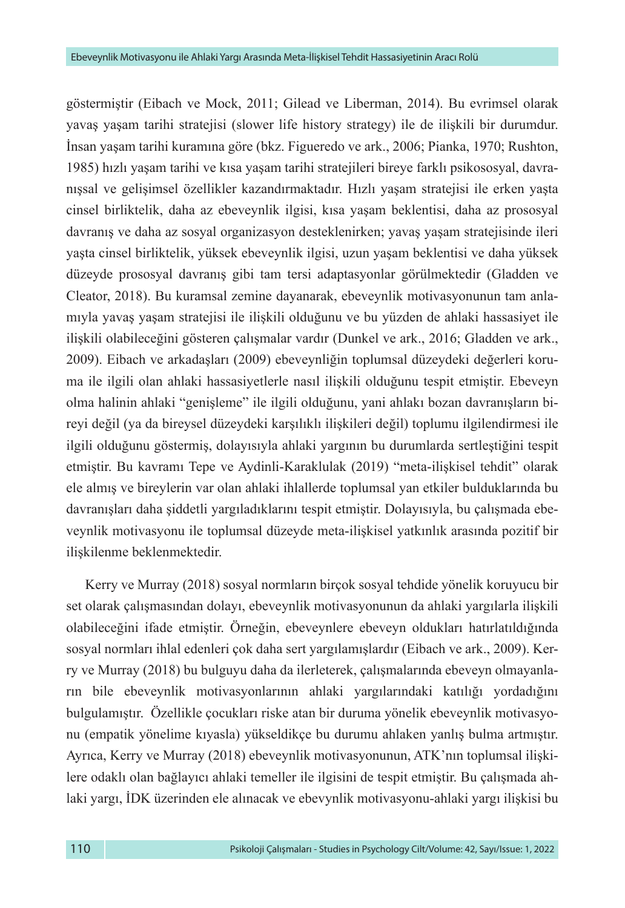göstermiştir (Eibach ve Mock, 2011; Gilead ve Liberman, 2014). Bu evrimsel olarak yavaş yaşam tarihi stratejisi (slower life history strategy) ile de ilişkili bir durumdur. İnsan yaşam tarihi kuramına göre (bkz. Figueredo ve ark., 2006; Pianka, 1970; Rushton, 1985) hızlı yaşam tarihi ve kısa yaşam tarihi stratejileri bireye farklı psikososyal, davranışsal ve gelişimsel özellikler kazandırmaktadır. Hızlı yaşam stratejisi ile erken yaşta cinsel birliktelik, daha az ebeveynlik ilgisi, kısa yaşam beklentisi, daha az prososyal davranış ve daha az sosyal organizasyon desteklenirken; yavaş yaşam stratejisinde ileri yaşta cinsel birliktelik, yüksek ebeveynlik ilgisi, uzun yaşam beklentisi ve daha yüksek düzeyde prososyal davranış gibi tam tersi adaptasyonlar görülmektedir (Gladden ve Cleator, 2018). Bu kuramsal zemine dayanarak, ebeveynlik motivasyonunun tam anlamıyla yavaş yaşam stratejisi ile ilişkili olduğunu ve bu yüzden de ahlaki hassasiyet ile ilişkili olabileceğini gösteren çalışmalar vardır (Dunkel ve ark., 2016; Gladden ve ark., 2009). Eibach ve arkadaşları (2009) ebeveynliğin toplumsal düzeydeki değerleri koruma ile ilgili olan ahlaki hassasiyetlerle nasıl ilişkili olduğunu tespit etmiştir. Ebeveyn olma halinin ahlaki "genişleme" ile ilgili olduğunu, yani ahlakı bozan davranışların bireyi değil (ya da bireysel düzeydeki karşılıklı ilişkileri değil) toplumu ilgilendirmesi ile ilgili olduğunu göstermiş, dolayısıyla ahlaki yargının bu durumlarda sertleştiğini tespit etmiştir. Bu kavramı Tepe ve Aydinli-Karaklulak (2019) "meta-ilişkisel tehdit" olarak ele almış ve bireylerin var olan ahlaki ihlallerde toplumsal yan etkiler bulduklarında bu davranışları daha şiddetli yargıladıklarını tespit etmiştir. Dolayısıyla, bu çalışmada ebeveynlik motivasyonu ile toplumsal düzeyde meta-ilişkisel yatkınlık arasında pozitif bir ilişkilenme beklenmektedir.

Kerry ve Murray (2018) sosyal normların birçok sosyal tehdide yönelik koruyucu bir set olarak çalışmasından dolayı, ebeveynlik motivasyonunun da ahlaki yargılarla ilişkili olabileceğini ifade etmiştir. Örneğin, ebeveynlere ebeveyn oldukları hatırlatıldığında sosyal normları ihlal edenleri çok daha sert yargılamışlardır (Eibach ve ark., 2009). Kerry ve Murray (2018) bu bulguyu daha da ilerleterek, çalışmalarında ebeveyn olmayanların bile ebeveynlik motivasyonlarının ahlaki yargılarındaki katılığı yordadığını bulgulamıştır. Özellikle çocukları riske atan bir duruma yönelik ebeveynlik motivasyonu (empatik yönelime kıyasla) yükseldikçe bu durumu ahlaken yanlış bulma artmıştır. Ayrıca, Kerry ve Murray (2018) ebeveynlik motivasyonunun, ATK'nın toplumsal ilişkilere odaklı olan bağlayıcı ahlaki temeller ile ilgisini de tespit etmiştir. Bu çalışmada ahlaki yargı, İDK üzerinden ele alınacak ve ebevynlik motivasyonu-ahlaki yargı ilişkisi bu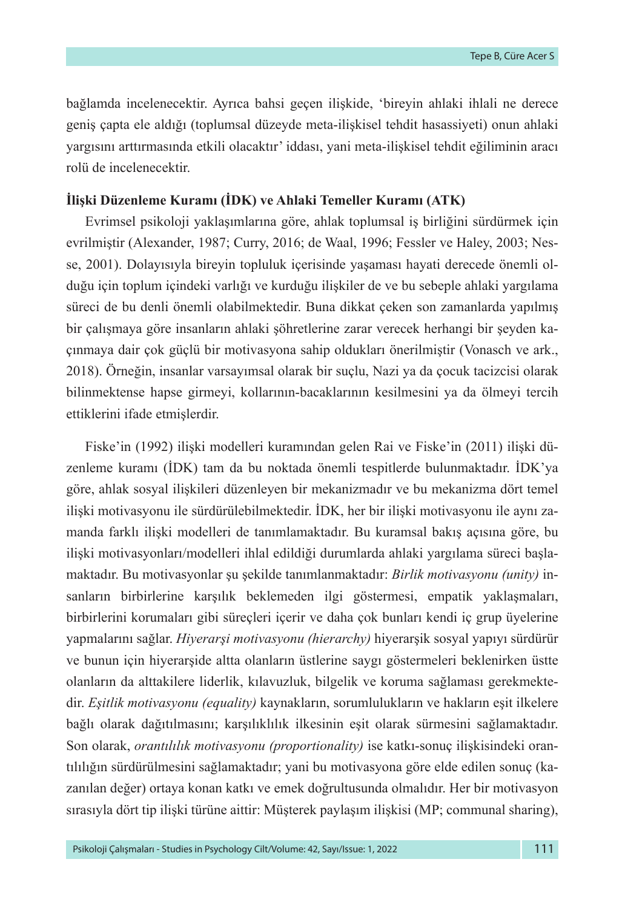bağlamda incelenecektir. Ayrıca bahsi geçen ilişkide, 'bireyin ahlaki ihlali ne derece geniş çapta ele aldığı (toplumsal düzeyde meta-ilişkisel tehdit hasassiyeti) onun ahlaki yargısını arttırmasında etkili olacaktır' iddası, yani meta-ilişkisel tehdit eğiliminin aracı rolü de incelenecektir.

#### **İlişki Düzenleme Kuramı (İDK) ve Ahlaki Temeller Kuramı (ATK)**

Evrimsel psikoloji yaklaşımlarına göre, ahlak toplumsal iş birliğini sürdürmek için evrilmiştir (Alexander, 1987; Curry, 2016; de Waal, 1996; Fessler ve Haley, 2003; Nesse, 2001). Dolayısıyla bireyin topluluk içerisinde yaşaması hayati derecede önemli olduğu için toplum içindeki varlığı ve kurduğu ilişkiler de ve bu sebeple ahlaki yargılama süreci de bu denli önemli olabilmektedir. Buna dikkat çeken son zamanlarda yapılmış bir çalışmaya göre insanların ahlaki şöhretlerine zarar verecek herhangi bir şeyden kaçınmaya dair çok güçlü bir motivasyona sahip oldukları önerilmiştir (Vonasch ve ark., 2018). Örneğin, insanlar varsayımsal olarak bir suçlu, Nazi ya da çocuk tacizcisi olarak bilinmektense hapse girmeyi, kollarının-bacaklarının kesilmesini ya da ölmeyi tercih ettiklerini ifade etmişlerdir.

Fiske'in (1992) ilişki modelleri kuramından gelen Rai ve Fiske'in (2011) ilişki düzenleme kuramı (İDK) tam da bu noktada önemli tespitlerde bulunmaktadır. İDK'ya göre, ahlak sosyal ilişkileri düzenleyen bir mekanizmadır ve bu mekanizma dört temel ilişki motivasyonu ile sürdürülebilmektedir. İDK, her bir ilişki motivasyonu ile aynı zamanda farklı ilişki modelleri de tanımlamaktadır. Bu kuramsal bakış açısına göre, bu ilişki motivasyonları/modelleri ihlal edildiği durumlarda ahlaki yargılama süreci başlamaktadır. Bu motivasyonlar şu şekilde tanımlanmaktadır: *Birlik motivasyonu (unity)* insanların birbirlerine karşılık beklemeden ilgi göstermesi, empatik yaklaşmaları, birbirlerini korumaları gibi süreçleri içerir ve daha çok bunları kendi iç grup üyelerine yapmalarını sağlar. *Hiyerarşi motivasyonu (hierarchy)* hiyerarşik sosyal yapıyı sürdürür ve bunun için hiyerarşide altta olanların üstlerine saygı göstermeleri beklenirken üstte olanların da alttakilere liderlik, kılavuzluk, bilgelik ve koruma sağlaması gerekmektedir. *Eşitlik motivasyonu (equality)* kaynakların, sorumlulukların ve hakların eşit ilkelere bağlı olarak dağıtılmasını; karşılıklılık ilkesinin eşit olarak sürmesini sağlamaktadır. Son olarak, *orantılılık motivasyonu (proportionality)* ise katkı-sonuç ilişkisindeki orantılılığın sürdürülmesini sağlamaktadır; yani bu motivasyona göre elde edilen sonuç (kazanılan değer) ortaya konan katkı ve emek doğrultusunda olmalıdır. Her bir motivasyon sırasıyla dört tip ilişki türüne aittir: Müşterek paylaşım ilişkisi (MP; communal sharing),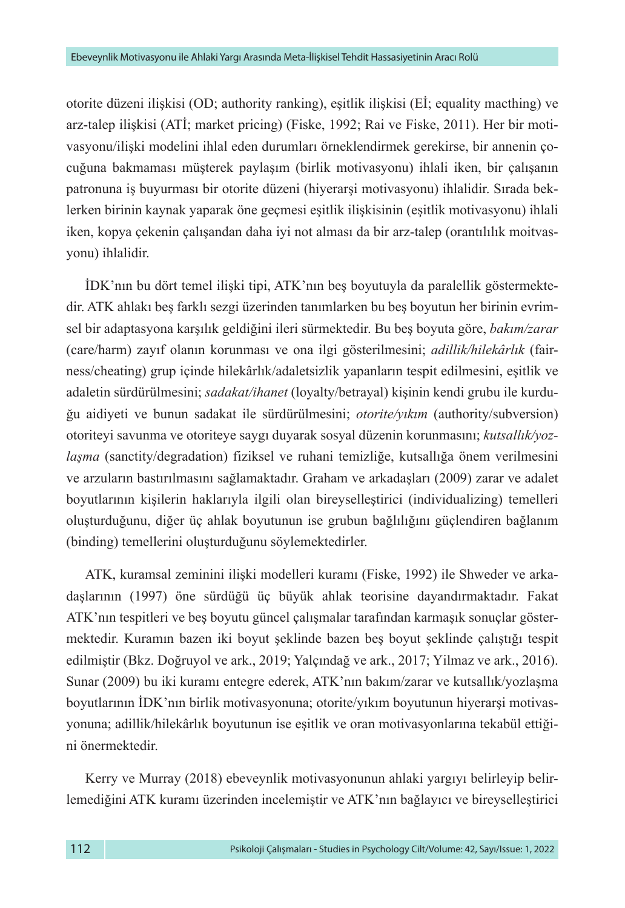otorite düzeni ilişkisi (OD; authority ranking), eşitlik ilişkisi (Eİ; equality macthing) ve arz-talep ilişkisi (ATİ; market pricing) (Fiske, 1992; Rai ve Fiske, 2011). Her bir motivasyonu/ilişki modelini ihlal eden durumları örneklendirmek gerekirse, bir annenin çocuğuna bakmaması müşterek paylaşım (birlik motivasyonu) ihlali iken, bir çalışanın patronuna iş buyurması bir otorite düzeni (hiyerarşi motivasyonu) ihlalidir. Sırada beklerken birinin kaynak yaparak öne geçmesi eşitlik ilişkisinin (eşitlik motivasyonu) ihlali iken, kopya çekenin çalışandan daha iyi not alması da bir arz-talep (orantılılık moitvasyonu) ihlalidir.

İDK'nın bu dört temel ilişki tipi, ATK'nın beş boyutuyla da paralellik göstermektedir. ATK ahlakı beş farklı sezgi üzerinden tanımlarken bu beş boyutun her birinin evrimsel bir adaptasyona karşılık geldiğini ileri sürmektedir. Bu beş boyuta göre, *bakım/zarar* (care/harm) zayıf olanın korunması ve ona ilgi gösterilmesini; *adillik/hilekârlık* (fairness/cheating) grup içinde hilekârlık/adaletsizlik yapanların tespit edilmesini, eşitlik ve adaletin sürdürülmesini; *sadakat/ihanet* (loyalty/betrayal) kişinin kendi grubu ile kurduğu aidiyeti ve bunun sadakat ile sürdürülmesini; *otorite/yıkım* (authority/subversion) otoriteyi savunma ve otoriteye saygı duyarak sosyal düzenin korunmasını; *kutsallık/yozlaşma* (sanctity/degradation) fiziksel ve ruhani temizliğe, kutsallığa önem verilmesini ve arzuların bastırılmasını sağlamaktadır. Graham ve arkadaşları (2009) zarar ve adalet boyutlarının kişilerin haklarıyla ilgili olan bireyselleştirici (individualizing) temelleri oluşturduğunu, diğer üç ahlak boyutunun ise grubun bağlılığını güçlendiren bağlanım (binding) temellerini oluşturduğunu söylemektedirler.

ATK, kuramsal zeminini ilişki modelleri kuramı (Fiske, 1992) ile Shweder ve arkadaşlarının (1997) öne sürdüğü üç büyük ahlak teorisine dayandırmaktadır. Fakat ATK'nın tespitleri ve beş boyutu güncel çalışmalar tarafından karmaşık sonuçlar göstermektedir. Kuramın bazen iki boyut şeklinde bazen beş boyut şeklinde çalıştığı tespit edilmiştir (Bkz. Doğruyol ve ark., 2019; Yalçındağ ve ark., 2017; Yilmaz ve ark., 2016). Sunar (2009) bu iki kuramı entegre ederek, ATK'nın bakım/zarar ve kutsallık/yozlaşma boyutlarının İDK'nın birlik motivasyonuna; otorite/yıkım boyutunun hiyerarşi motivasyonuna; adillik/hilekârlık boyutunun ise eşitlik ve oran motivasyonlarına tekabül ettiğini önermektedir.

Kerry ve Murray (2018) ebeveynlik motivasyonunun ahlaki yargıyı belirleyip belirlemediğini ATK kuramı üzerinden incelemiştir ve ATK'nın bağlayıcı ve bireyselleştirici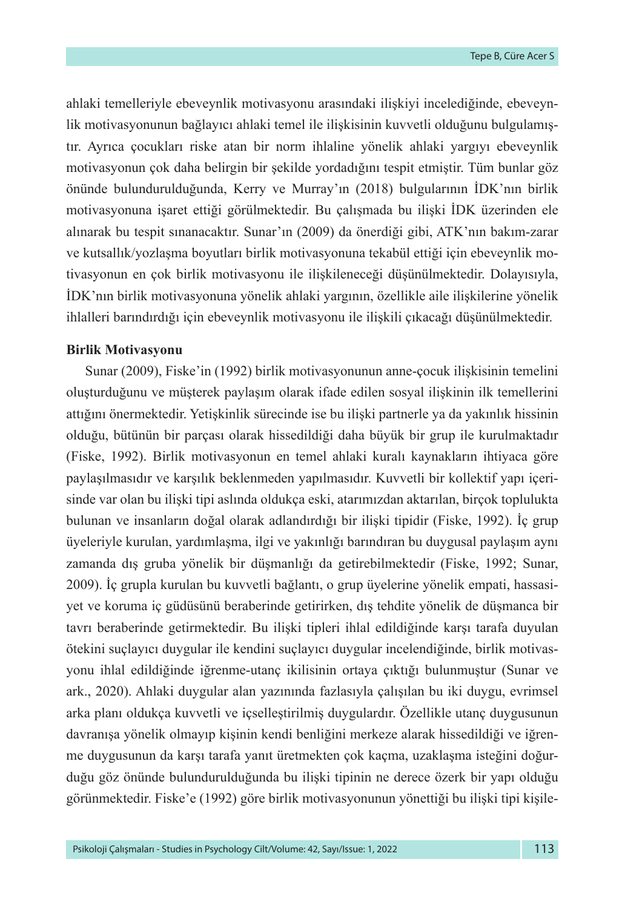ahlaki temelleriyle ebeveynlik motivasyonu arasındaki ilişkiyi incelediğinde, ebeveynlik motivasyonunun bağlayıcı ahlaki temel ile ilişkisinin kuvvetli olduğunu bulgulamıştır. Ayrıca çocukları riske atan bir norm ihlaline yönelik ahlaki yargıyı ebeveynlik motivasyonun çok daha belirgin bir şekilde yordadığını tespit etmiştir. Tüm bunlar göz önünde bulundurulduğunda, Kerry ve Murray'ın (2018) bulgularının İDK'nın birlik motivasyonuna işaret ettiği görülmektedir. Bu çalışmada bu ilişki İDK üzerinden ele alınarak bu tespit sınanacaktır. Sunar'ın (2009) da önerdiği gibi, ATK'nın bakım-zarar ve kutsallık/yozlaşma boyutları birlik motivasyonuna tekabül ettiği için ebeveynlik motivasyonun en çok birlik motivasyonu ile ilişkileneceği düşünülmektedir. Dolayısıyla, İDK'nın birlik motivasyonuna yönelik ahlaki yargının, özellikle aile ilişkilerine yönelik ihlalleri barındırdığı için ebeveynlik motivasyonu ile ilişkili çıkacağı düşünülmektedir.

#### **Birlik Motivasyonu**

Sunar (2009), Fiske'in (1992) birlik motivasyonunun anne-çocuk ilişkisinin temelini oluşturduğunu ve müşterek paylaşım olarak ifade edilen sosyal ilişkinin ilk temellerini attığını önermektedir. Yetişkinlik sürecinde ise bu ilişki partnerle ya da yakınlık hissinin olduğu, bütünün bir parçası olarak hissedildiği daha büyük bir grup ile kurulmaktadır (Fiske, 1992). Birlik motivasyonun en temel ahlaki kuralı kaynakların ihtiyaca göre paylaşılmasıdır ve karşılık beklenmeden yapılmasıdır. Kuvvetli bir kollektif yapı içerisinde var olan bu ilişki tipi aslında oldukça eski, atarımızdan aktarılan, birçok toplulukta bulunan ve insanların doğal olarak adlandırdığı bir ilişki tipidir (Fiske, 1992). İç grup üyeleriyle kurulan, yardımlaşma, ilgi ve yakınlığı barındıran bu duygusal paylaşım aynı zamanda dış gruba yönelik bir düşmanlığı da getirebilmektedir (Fiske, 1992; Sunar, 2009). İç grupla kurulan bu kuvvetli bağlantı, o grup üyelerine yönelik empati, hassasiyet ve koruma iç güdüsünü beraberinde getirirken, dış tehdite yönelik de düşmanca bir tavrı beraberinde getirmektedir. Bu ilişki tipleri ihlal edildiğinde karşı tarafa duyulan ötekini suçlayıcı duygular ile kendini suçlayıcı duygular incelendiğinde, birlik motivasyonu ihlal edildiğinde iğrenme-utanç ikilisinin ortaya çıktığı bulunmuştur (Sunar ve ark., 2020). Ahlaki duygular alan yazınında fazlasıyla çalışılan bu iki duygu, evrimsel arka planı oldukça kuvvetli ve içselleştirilmiş duygulardır. Özellikle utanç duygusunun davranışa yönelik olmayıp kişinin kendi benliğini merkeze alarak hissedildiği ve iğrenme duygusunun da karşı tarafa yanıt üretmekten çok kaçma, uzaklaşma isteğini doğurduğu göz önünde bulundurulduğunda bu ilişki tipinin ne derece özerk bir yapı olduğu görünmektedir. Fiske'e (1992) göre birlik motivasyonunun yönettiği bu ilişki tipi kişile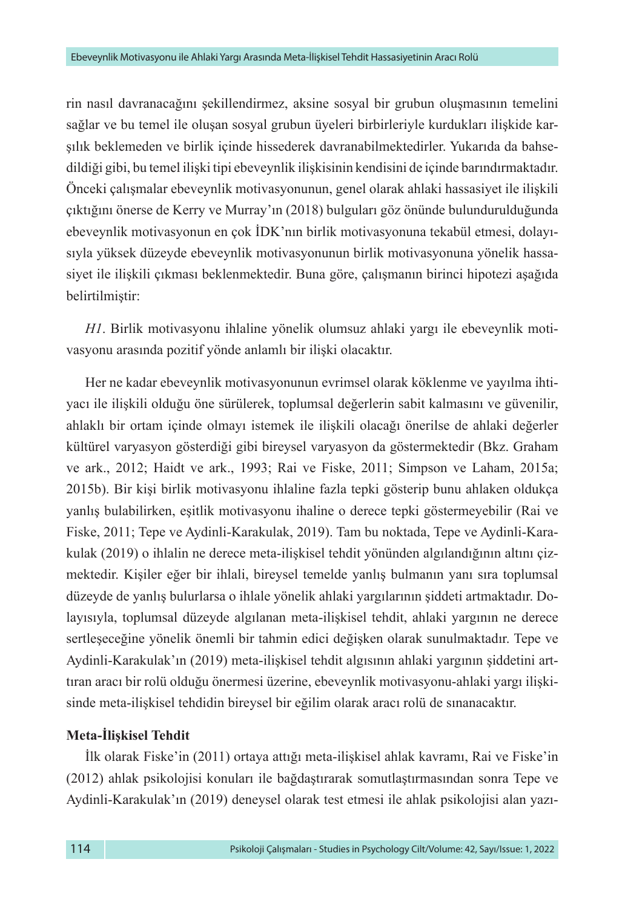rin nasıl davranacağını şekillendirmez, aksine sosyal bir grubun oluşmasının temelini sağlar ve bu temel ile oluşan sosyal grubun üyeleri birbirleriyle kurdukları ilişkide karşılık beklemeden ve birlik içinde hissederek davranabilmektedirler. Yukarıda da bahsedildiği gibi, bu temel ilişki tipi ebeveynlik ilişkisinin kendisini de içinde barındırmaktadır. Önceki çalışmalar ebeveynlik motivasyonunun, genel olarak ahlaki hassasiyet ile ilişkili çıktığını önerse de Kerry ve Murray'ın (2018) bulguları göz önünde bulundurulduğunda ebeveynlik motivasyonun en çok İDK'nın birlik motivasyonuna tekabül etmesi, dolayısıyla yüksek düzeyde ebeveynlik motivasyonunun birlik motivasyonuna yönelik hassasiyet ile ilişkili çıkması beklenmektedir. Buna göre, çalışmanın birinci hipotezi aşağıda belirtilmiştir:

*H1*. Birlik motivasyonu ihlaline yönelik olumsuz ahlaki yargı ile ebeveynlik motivasyonu arasında pozitif yönde anlamlı bir ilişki olacaktır.

Her ne kadar ebeveynlik motivasyonunun evrimsel olarak köklenme ve yayılma ihtiyacı ile ilişkili olduğu öne sürülerek, toplumsal değerlerin sabit kalmasını ve güvenilir, ahlaklı bir ortam içinde olmayı istemek ile ilişkili olacağı önerilse de ahlaki değerler kültürel varyasyon gösterdiği gibi bireysel varyasyon da göstermektedir (Bkz. Graham ve ark., 2012; Haidt ve ark., 1993; Rai ve Fiske, 2011; Simpson ve Laham, 2015a; 2015b). Bir kişi birlik motivasyonu ihlaline fazla tepki gösterip bunu ahlaken oldukça yanlış bulabilirken, eşitlik motivasyonu ihaline o derece tepki göstermeyebilir (Rai ve Fiske, 2011; Tepe ve Aydinli-Karakulak, 2019). Tam bu noktada, Tepe ve Aydinli-Karakulak (2019) o ihlalin ne derece meta-ilişkisel tehdit yönünden algılandığının altını çizmektedir. Kişiler eğer bir ihlali, bireysel temelde yanlış bulmanın yanı sıra toplumsal düzeyde de yanlış bulurlarsa o ihlale yönelik ahlaki yargılarının şiddeti artmaktadır. Dolayısıyla, toplumsal düzeyde algılanan meta-ilişkisel tehdit, ahlaki yargının ne derece sertleşeceğine yönelik önemli bir tahmin edici değişken olarak sunulmaktadır. Tepe ve Aydinli-Karakulak'ın (2019) meta-ilişkisel tehdit algısının ahlaki yargının şiddetini arttıran aracı bir rolü olduğu önermesi üzerine, ebeveynlik motivasyonu-ahlaki yargı ilişkisinde meta-ilişkisel tehdidin bireysel bir eğilim olarak aracı rolü de sınanacaktır.

## **Meta-İlişkisel Tehdit**

İlk olarak Fiske'in (2011) ortaya attığı meta-ilişkisel ahlak kavramı, Rai ve Fiske'in (2012) ahlak psikolojisi konuları ile bağdaştırarak somutlaştırmasından sonra Tepe ve Aydinli-Karakulak'ın (2019) deneysel olarak test etmesi ile ahlak psikolojisi alan yazı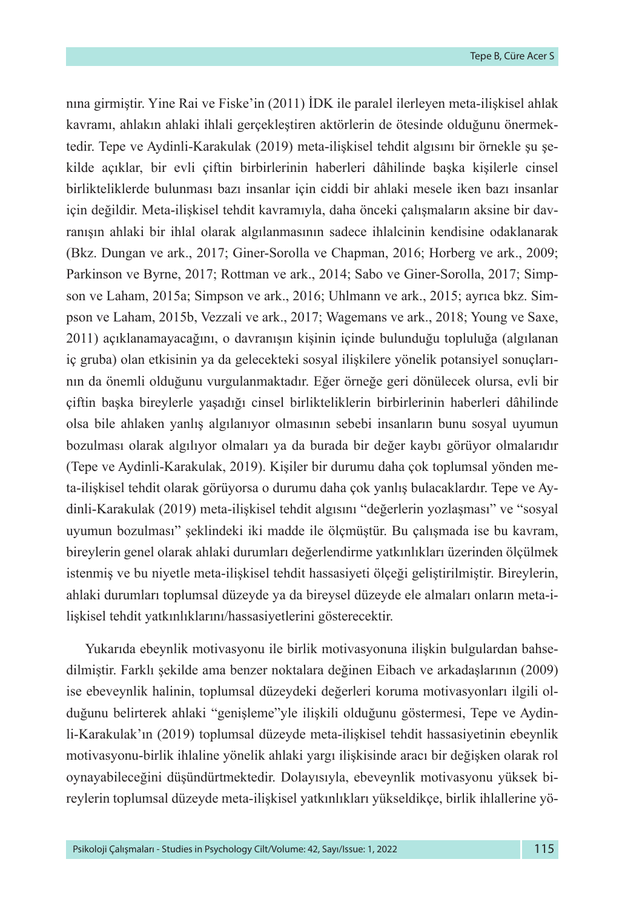nına girmiştir. Yine Rai ve Fiske'in (2011) İDK ile paralel ilerleyen meta-ilişkisel ahlak kavramı, ahlakın ahlaki ihlali gerçekleştiren aktörlerin de ötesinde olduğunu önermektedir. Tepe ve Aydinli-Karakulak (2019) meta-ilişkisel tehdit algısını bir örnekle şu şekilde açıklar, bir evli çiftin birbirlerinin haberleri dâhilinde başka kişilerle cinsel birlikteliklerde bulunması bazı insanlar için ciddi bir ahlaki mesele iken bazı insanlar için değildir. Meta-ilişkisel tehdit kavramıyla, daha önceki çalışmaların aksine bir davranışın ahlaki bir ihlal olarak algılanmasının sadece ihlalcinin kendisine odaklanarak (Bkz. Dungan ve ark., 2017; Giner-Sorolla ve Chapman, 2016; Horberg ve ark., 2009; Parkinson ve Byrne, 2017; Rottman ve ark., 2014; Sabo ve Giner-Sorolla, 2017; Simpson ve Laham, 2015a; Simpson ve ark., 2016; Uhlmann ve ark., 2015; ayrıca bkz. Simpson ve Laham, 2015b, Vezzali ve ark., 2017; Wagemans ve ark., 2018; Young ve Saxe, 2011) açıklanamayacağını, o davranışın kişinin içinde bulunduğu topluluğa (algılanan iç gruba) olan etkisinin ya da gelecekteki sosyal ilişkilere yönelik potansiyel sonuçlarının da önemli olduğunu vurgulanmaktadır. Eğer örneğe geri dönülecek olursa, evli bir çiftin başka bireylerle yaşadığı cinsel birlikteliklerin birbirlerinin haberleri dâhilinde olsa bile ahlaken yanlış algılanıyor olmasının sebebi insanların bunu sosyal uyumun bozulması olarak algılıyor olmaları ya da burada bir değer kaybı görüyor olmalarıdır (Tepe ve Aydinli-Karakulak, 2019). Kişiler bir durumu daha çok toplumsal yönden meta-ilişkisel tehdit olarak görüyorsa o durumu daha çok yanlış bulacaklardır. Tepe ve Aydinli-Karakulak (2019) meta-ilişkisel tehdit algısını "değerlerin yozlaşması" ve "sosyal uyumun bozulması" şeklindeki iki madde ile ölçmüştür. Bu çalışmada ise bu kavram, bireylerin genel olarak ahlaki durumları değerlendirme yatkınlıkları üzerinden ölçülmek istenmiş ve bu niyetle meta-ilişkisel tehdit hassasiyeti ölçeği geliştirilmiştir. Bireylerin, ahlaki durumları toplumsal düzeyde ya da bireysel düzeyde ele almaları onların meta-ilişkisel tehdit yatkınlıklarını/hassasiyetlerini gösterecektir.

Yukarıda ebeynlik motivasyonu ile birlik motivasyonuna ilişkin bulgulardan bahsedilmiştir. Farklı şekilde ama benzer noktalara değinen Eibach ve arkadaşlarının (2009) ise ebeveynlik halinin, toplumsal düzeydeki değerleri koruma motivasyonları ilgili olduğunu belirterek ahlaki "genişleme"yle ilişkili olduğunu göstermesi, Tepe ve Aydinli-Karakulak'ın (2019) toplumsal düzeyde meta-ilişkisel tehdit hassasiyetinin ebeynlik motivasyonu-birlik ihlaline yönelik ahlaki yargı ilişkisinde aracı bir değişken olarak rol oynayabileceğini düşündürtmektedir. Dolayısıyla, ebeveynlik motivasyonu yüksek bireylerin toplumsal düzeyde meta-ilişkisel yatkınlıkları yükseldikçe, birlik ihlallerine yö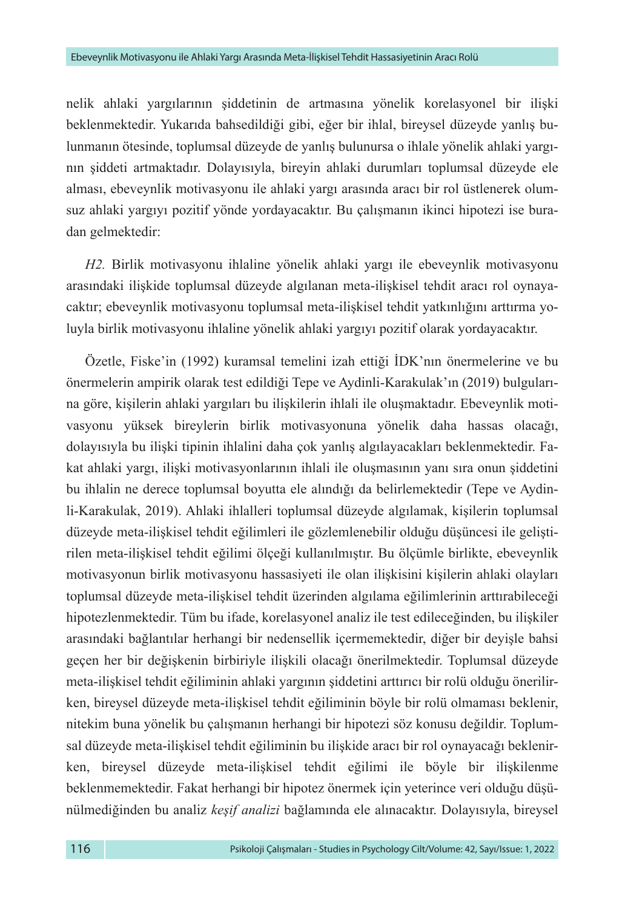nelik ahlaki yargılarının şiddetinin de artmasına yönelik korelasyonel bir ilişki beklenmektedir. Yukarıda bahsedildiği gibi, eğer bir ihlal, bireysel düzeyde yanlış bulunmanın ötesinde, toplumsal düzeyde de yanlış bulunursa o ihlale yönelik ahlaki yargının şiddeti artmaktadır. Dolayısıyla, bireyin ahlaki durumları toplumsal düzeyde ele alması, ebeveynlik motivasyonu ile ahlaki yargı arasında aracı bir rol üstlenerek olumsuz ahlaki yargıyı pozitif yönde yordayacaktır. Bu çalışmanın ikinci hipotezi ise buradan gelmektedir:

*H2.* Birlik motivasyonu ihlaline yönelik ahlaki yargı ile ebeveynlik motivasyonu arasındaki ilişkide toplumsal düzeyde algılanan meta-ilişkisel tehdit aracı rol oynayacaktır; ebeveynlik motivasyonu toplumsal meta-ilişkisel tehdit yatkınlığını arttırma yoluyla birlik motivasyonu ihlaline yönelik ahlaki yargıyı pozitif olarak yordayacaktır.

Özetle, Fiske'in (1992) kuramsal temelini izah ettiği İDK'nın önermelerine ve bu önermelerin ampirik olarak test edildiği Tepe ve Aydinli-Karakulak'ın (2019) bulgularına göre, kişilerin ahlaki yargıları bu ilişkilerin ihlali ile oluşmaktadır. Ebeveynlik motivasyonu yüksek bireylerin birlik motivasyonuna yönelik daha hassas olacağı, dolayısıyla bu ilişki tipinin ihlalini daha çok yanlış algılayacakları beklenmektedir. Fakat ahlaki yargı, ilişki motivasyonlarının ihlali ile oluşmasının yanı sıra onun şiddetini bu ihlalin ne derece toplumsal boyutta ele alındığı da belirlemektedir (Tepe ve Aydinli-Karakulak, 2019). Ahlaki ihlalleri toplumsal düzeyde algılamak, kişilerin toplumsal düzeyde meta-ilişkisel tehdit eğilimleri ile gözlemlenebilir olduğu düşüncesi ile geliştirilen meta-ilişkisel tehdit eğilimi ölçeği kullanılmıştır. Bu ölçümle birlikte, ebeveynlik motivasyonun birlik motivasyonu hassasiyeti ile olan ilişkisini kişilerin ahlaki olayları toplumsal düzeyde meta-ilişkisel tehdit üzerinden algılama eğilimlerinin arttırabileceği hipotezlenmektedir. Tüm bu ifade, korelasyonel analiz ile test edileceğinden, bu ilişkiler arasındaki bağlantılar herhangi bir nedensellik içermemektedir, diğer bir deyişle bahsi geçen her bir değişkenin birbiriyle ilişkili olacağı önerilmektedir. Toplumsal düzeyde meta-ilişkisel tehdit eğiliminin ahlaki yargının şiddetini arttırıcı bir rolü olduğu önerilirken, bireysel düzeyde meta-ilişkisel tehdit eğiliminin böyle bir rolü olmaması beklenir, nitekim buna yönelik bu çalışmanın herhangi bir hipotezi söz konusu değildir. Toplumsal düzeyde meta-ilişkisel tehdit eğiliminin bu ilişkide aracı bir rol oynayacağı beklenirken, bireysel düzeyde meta-ilişkisel tehdit eğilimi ile böyle bir ilişkilenme beklenmemektedir. Fakat herhangi bir hipotez önermek için yeterince veri olduğu düşünülmediğinden bu analiz *keşif analizi* bağlamında ele alınacaktır. Dolayısıyla, bireysel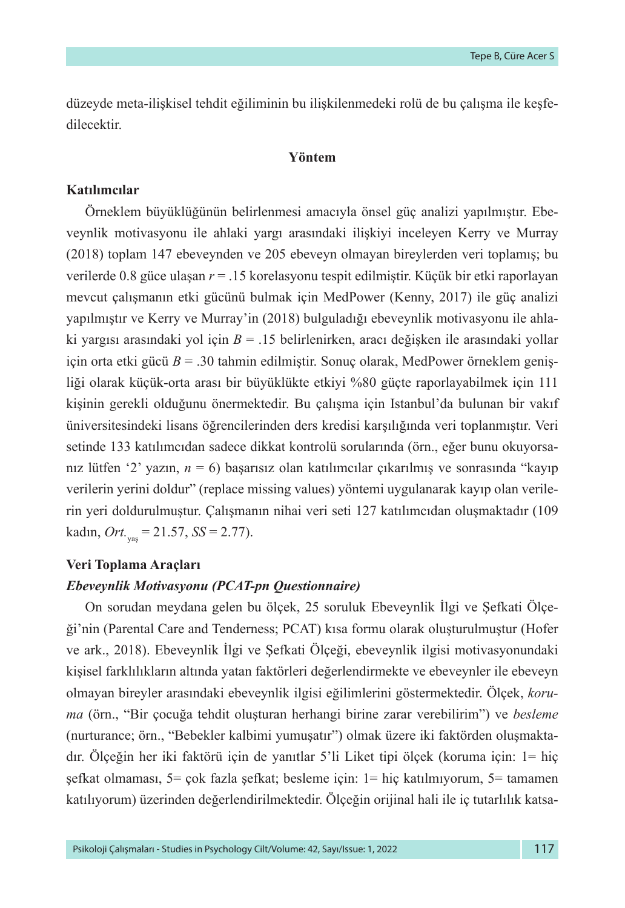düzeyde meta-ilişkisel tehdit eğiliminin bu ilişkilenmedeki rolü de bu çalışma ile keşfedilecektir.

#### **Yöntem**

## **Katılımcılar**

Örneklem büyüklüğünün belirlenmesi amacıyla önsel güç analizi yapılmıştır. Ebeveynlik motivasyonu ile ahlaki yargı arasındaki ilişkiyi inceleyen Kerry ve Murray (2018) toplam 147 ebeveynden ve 205 ebeveyn olmayan bireylerden veri toplamış; bu verilerde 0.8 güce ulaşan *r* = .15 korelasyonu tespit edilmiştir. Küçük bir etki raporlayan mevcut çalışmanın etki gücünü bulmak için MedPower (Kenny, 2017) ile güç analizi yapılmıştır ve Kerry ve Murray'in (2018) bulguladığı ebeveynlik motivasyonu ile ahlaki yargısı arasındaki yol için *B* = .15 belirlenirken, aracı değişken ile arasındaki yollar için orta etki gücü *B* = .30 tahmin edilmiştir. Sonuç olarak, MedPower örneklem genişliği olarak küçük-orta arası bir büyüklükte etkiyi %80 güçte raporlayabilmek için 111 kişinin gerekli olduğunu önermektedir. Bu çalışma için Istanbul'da bulunan bir vakıf üniversitesindeki lisans öğrencilerinden ders kredisi karşılığında veri toplanmıştır. Veri setinde 133 katılımcıdan sadece dikkat kontrolü sorularında (örn., eğer bunu okuyorsanız lütfen '2' yazın, *n* = 6) başarısız olan katılımcılar çıkarılmış ve sonrasında "kayıp verilerin yerini doldur" (replace missing values) yöntemi uygulanarak kayıp olan verilerin yeri doldurulmuştur. Çalışmanın nihai veri seti 127 katılımcıdan oluşmaktadır (109 kadın, *Ort.*yaş = 21.57, *SS* = 2.77).

## **Veri Toplama Araçları**

## *Ebeveynlik Motivasyonu (PCAT-pn Questionnaire)*

On sorudan meydana gelen bu ölçek, 25 soruluk Ebeveynlik İlgi ve Şefkati Ölçeği'nin (Parental Care and Tenderness; PCAT) kısa formu olarak oluşturulmuştur (Hofer ve ark., 2018). Ebeveynlik İlgi ve Şefkati Ölçeği, ebeveynlik ilgisi motivasyonundaki kişisel farklılıkların altında yatan faktörleri değerlendirmekte ve ebeveynler ile ebeveyn olmayan bireyler arasındaki ebeveynlik ilgisi eğilimlerini göstermektedir. Ölçek, *koruma* (örn., "Bir çocuğa tehdit oluşturan herhangi birine zarar verebilirim") ve *besleme* (nurturance; örn., "Bebekler kalbimi yumuşatır") olmak üzere iki faktörden oluşmaktadır. Ölçeğin her iki faktörü için de yanıtlar 5'li Liket tipi ölçek (koruma için: 1= hiç şefkat olmaması, 5= çok fazla şefkat; besleme için: 1= hiç katılmıyorum, 5= tamamen katılıyorum) üzerinden değerlendirilmektedir. Ölçeğin orijinal hali ile iç tutarlılık katsa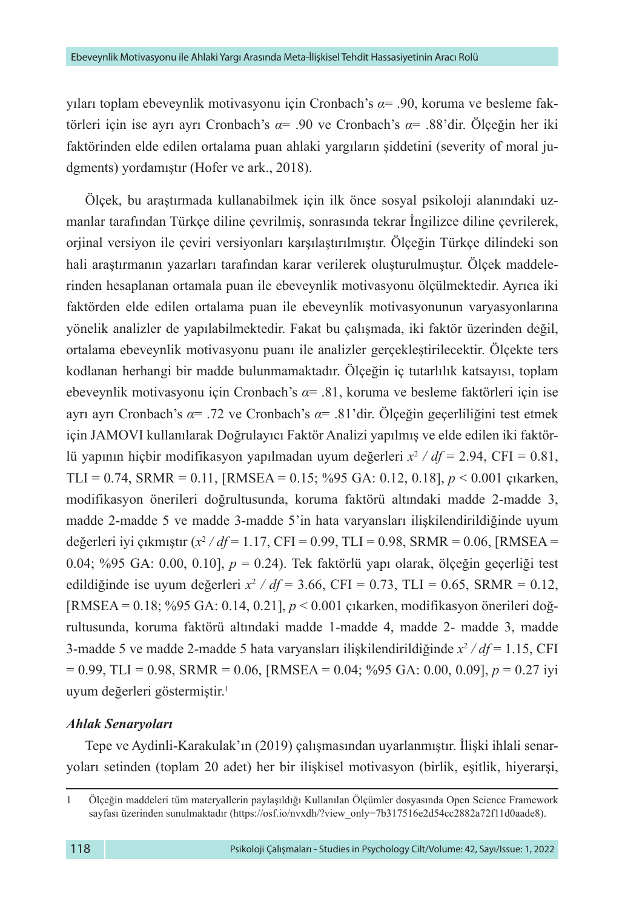yıları toplam ebeveynlik motivasyonu için Cronbach's *α*= .90, koruma ve besleme faktörleri için ise ayrı ayrı Cronbach's *α*= .90 ve Cronbach's *α*= .88'dir. Ölçeğin her iki faktörinden elde edilen ortalama puan ahlaki yargıların şiddetini (severity of moral judgments) yordamıştır (Hofer ve ark., 2018).

Ölçek, bu araştırmada kullanabilmek için ilk önce sosyal psikoloji alanındaki uzmanlar tarafından Türkçe diline çevrilmiş, sonrasında tekrar İngilizce diline çevrilerek, orjinal versiyon ile çeviri versiyonları karşılaştırılmıştır. Ölçeğin Türkçe dilindeki son hali araştırmanın yazarları tarafından karar verilerek oluşturulmuştur. Ölçek maddelerinden hesaplanan ortamala puan ile ebeveynlik motivasyonu ölçülmektedir. Ayrıca iki faktörden elde edilen ortalama puan ile ebeveynlik motivasyonunun varyasyonlarına yönelik analizler de yapılabilmektedir. Fakat bu çalışmada, iki faktör üzerinden değil, ortalama ebeveynlik motivasyonu puanı ile analizler gerçekleştirilecektir. Ölçekte ters kodlanan herhangi bir madde bulunmamaktadır. Ölçeğin iç tutarlılık katsayısı, toplam ebeveynlik motivasyonu için Cronbach's *α*= .81, koruma ve besleme faktörleri için ise ayrı ayrı Cronbach's *α*= .72 ve Cronbach's *α*= .81'dir. Ölçeğin geçerliliğini test etmek için JAMOVI kullanılarak Doğrulayıcı Faktör Analizi yapılmış ve elde edilen iki faktörlü yapının hiçbir modifikasyon yapılmadan uyum değerleri *x*<sup>2</sup>  */ df* = 2.94, CFI = 0.81, TLI = 0.74, SRMR = 0.11, [RMSEA = 0.15; %95 GA: 0.12, 0.18], *p* < 0.001 çıkarken, modifikasyon önerileri doğrultusunda, koruma faktörü altındaki madde 2-madde 3, madde 2-madde 5 ve madde 3-madde 5'in hata varyansları ilişkilendirildiğinde uyum değerleri iyi çıkmıştır (*x*<sup>2</sup>  */ df* = 1.17, CFI = 0.99, TLI = 0.98, SRMR = 0.06, [RMSEA = 0.04; %95 GA: 0.00, 0.10], *p* = 0.24). Tek faktörlü yapı olarak, ölçeğin geçerliği test edildiğinde ise uyum değerleri  $x^2$  /  $df = 3.66$ , CFI = 0.73, TLI = 0.65, SRMR = 0.12, [RMSEA = 0.18; %95 GA: 0.14, 0.21], *p* < 0.001 çıkarken, modifikasyon önerileri doğrultusunda, koruma faktörü altındaki madde 1-madde 4, madde 2- madde 3, madde 3-madde 5 ve madde 2-madde 5 hata varyansları ilişkilendirildiğinde *x*<sup>2</sup>  */ df* = 1.15, CFI = 0.99, TLI = 0.98, SRMR = 0.06, [RMSEA = 0.04; %95 GA: 0.00, 0.09], *p* = 0.27 iyi uyum değerleri göstermiştir.<sup>1</sup>

## *Ahlak Senaryoları*

Tepe ve Aydinli-Karakulak'ın (2019) çalışmasından uyarlanmıştır. İlişki ihlali senaryoları setinden (toplam 20 adet) her bir ilişkisel motivasyon (birlik, eşitlik, hiyerarşi,

<sup>1</sup> Ölçeğin maddeleri tüm materyallerin paylaşıldığı Kullanılan Ölçümler dosyasında Open Science Framework sayfası üzerinden sunulmaktadır ([https://osf.io/nvxdh/?view\\_only=7b317516e2d54cc2882a72f11d0aade8\)](https://osf.io/nvxdh/?view_only=7b317516e2d54cc2882a72f11d0aade8).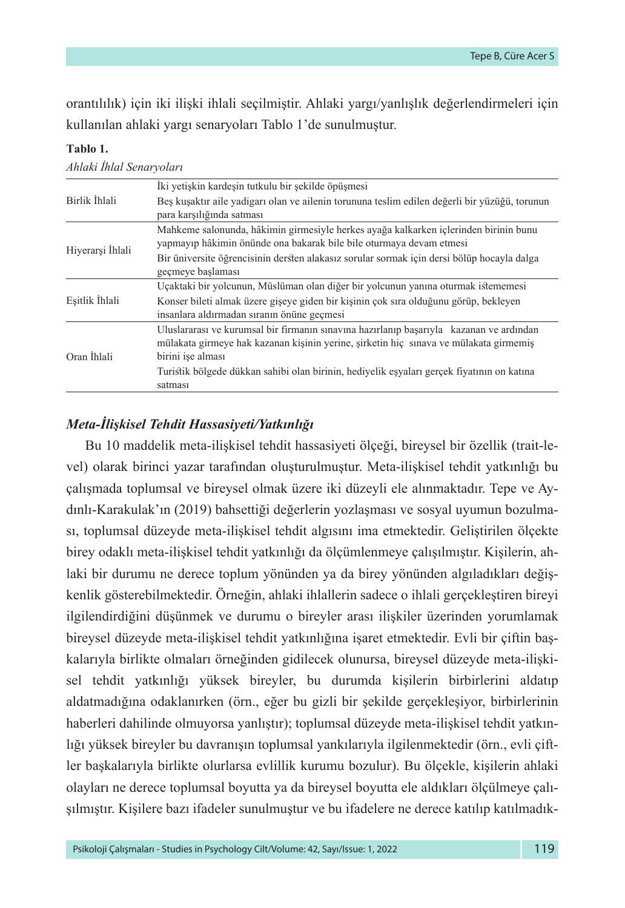orantılılık) için iki ilişki ihlali seçilmiştir. Ahlaki yargı/yanlışlık değerlendirmeleri için kullanılan ahlaki yargı senaryoları Tablo 1'de sunulmuştur.

#### **Tablo 1.**

|                  | İki yetişkin kardesin tutkulu bir şekilde öpüşmesi                                                                                                                                                    |  |  |  |  |  |  |  |
|------------------|-------------------------------------------------------------------------------------------------------------------------------------------------------------------------------------------------------|--|--|--|--|--|--|--|
| Birlik İhlali    | Bes kusaktır aile yadıgarı olan ve ailenin torununa teslim edilen değerli bir yüzüğü, torunun<br>para karşılığında satması                                                                            |  |  |  |  |  |  |  |
| Hiyerarsi İhlali | Mahkeme salonunda, hâkimin girmesiyle herkes ayağa kalkarken içlerinden birinin bunu<br>yapmayıp hâkimin önünde ona bakarak bile bile oturmaya devam etmesi                                           |  |  |  |  |  |  |  |
|                  | Bir üniversite öğrencisinin dersten alakasız sorular sormak için dersi bölüp hocayla dalga<br>gecmeye baslaması                                                                                       |  |  |  |  |  |  |  |
| Esitlik İhlali   | Uçaktaki bir yolcunun, Müslüman olan diğer bir yolcunun yanına oturmak istememesi                                                                                                                     |  |  |  |  |  |  |  |
|                  | Konser bileti almak üzere gişeye giden bir kişinin çok sıra olduğunu görüp, bekleyen<br>insanlara aldırmadan sıranın önüne geçmesi                                                                    |  |  |  |  |  |  |  |
| Oran İhlali      | Uluslararası ve kurumsal bir firmanın sınavına hazırlanıp başarıyla kazanan ve ardından<br>mülakata girmeye hak kazanan kisinin yerine, sirketin hiç sınava ve mülakata girmemis<br>birini işe alması |  |  |  |  |  |  |  |
|                  | Turistik bölgede dükkan sahibi olan birinin, hediyelik esyaları gerçek fiyatının on katına<br>satması                                                                                                 |  |  |  |  |  |  |  |

#### *Ahlaki İhlal Senaryoları*

## *Meta-İlişkisel Tehdit Hassasiyeti/Yatkınlığı*

Bu 10 maddelik meta-ilişkisel tehdit hassasiyeti ölçeği, bireysel bir özellik (trait-level) olarak birinci yazar tarafından oluşturulmuştur. Meta-ilişkisel tehdit yatkınlığı bu çalışmada toplumsal ve bireysel olmak üzere iki düzeyli ele alınmaktadır. Tepe ve Aydınlı-Karakulak'ın (2019) bahsettiği değerlerin yozlaşması ve sosyal uyumun bozulması, toplumsal düzeyde meta-ilişkisel tehdit algısını ima etmektedir. Geliştirilen ölçekte birey odaklı meta-ilişkisel tehdit yatkınlığı da ölçümlenmeye çalışılmıştır. Kişilerin, ahlaki bir durumu ne derece toplum yönünden ya da birey yönünden algıladıkları değişkenlik gösterebilmektedir. Örneğin, ahlaki ihlallerin sadece o ihlali gerçekleştiren bireyi ilgilendirdiğini düşünmek ve durumu o bireyler arası ilişkiler üzerinden yorumlamak bireysel düzeyde meta-ilişkisel tehdit yatkınlığına işaret etmektedir. Evli bir çiftin başkalarıyla birlikte olmaları örneğinden gidilecek olunursa, bireysel düzeyde meta-ilişkisel tehdit yatkınlığı yüksek bireyler, bu durumda kişilerin birbirlerini aldatıp aldatmadığına odaklanırken (örn., eğer bu gizli bir şekilde gerçekleşiyor, birbirlerinin haberleri dahilinde olmuyorsa yanlıştır); toplumsal düzeyde meta-ilişkisel tehdit yatkınlığı yüksek bireyler bu davranışın toplumsal yankılarıyla ilgilenmektedir (örn., evli çiftler başkalarıyla birlikte olurlarsa evlillik kurumu bozulur). Bu ölçekle, kişilerin ahlaki olayları ne derece toplumsal boyutta ya da bireysel boyutta ele aldıkları ölçülmeye çalışılmıştır. Kişilere bazı ifadeler sunulmuştur ve bu ifadelere ne derece katılıp katılmadık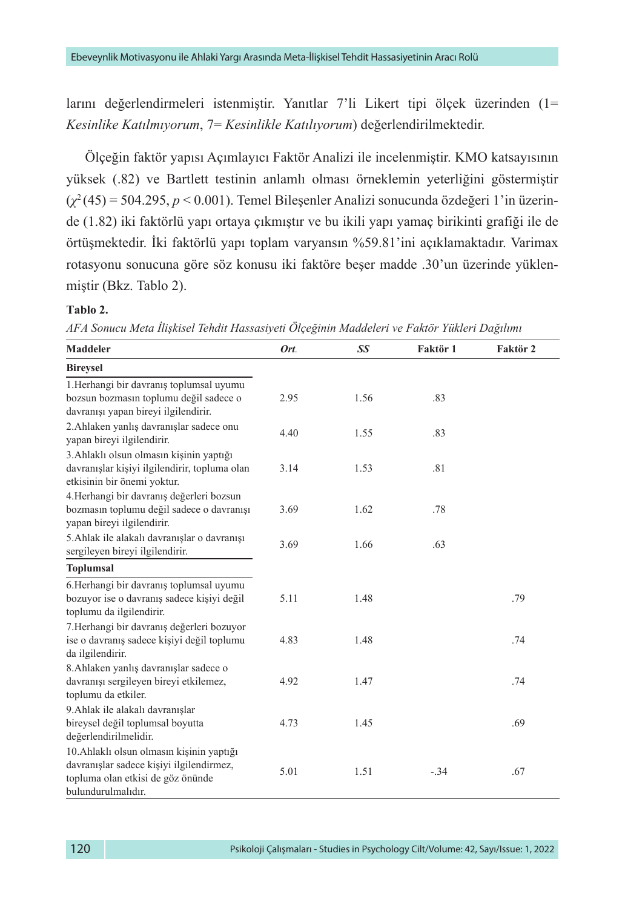larını değerlendirmeleri istenmiştir. Yanıtlar 7'li Likert tipi ölçek üzerinden (1= *Kesinlike Katılmıyorum*, 7= *Kesinlikle Katılıyorum*) değerlendirilmektedir.

Ölçeğin faktör yapısı Açımlayıcı Faktör Analizi ile incelenmiştir. KMO katsayısının yüksek (.82) ve Bartlett testinin anlamlı olması örneklemin yeterliğini göstermiştir (*χ*<sup>2</sup> (45) = 504.295, *p* < 0.001). Temel Bileşenler Analizi sonucunda özdeğeri 1'in üzerinde (1.82) iki faktörlü yapı ortaya çıkmıştır ve bu ikili yapı yamaç birikinti grafiği ile de örtüşmektedir. İki faktörlü yapı toplam varyansın %59.81'ini açıklamaktadır. Varimax rotasyonu sonucuna göre söz konusu iki faktöre beşer madde .30'un üzerinde yüklenmiştir (Bkz. Tablo 2).

#### **Tablo 2.**

*AFA Sonucu Meta İlişkisel Tehdit Hassasiyeti Ölçeğinin Maddeleri ve Faktör Yükleri Dağılımı*

| <b>Maddeler</b>                                                                                                                                  | Ort. | SS   | Faktör 1 | Faktör 2 |
|--------------------------------------------------------------------------------------------------------------------------------------------------|------|------|----------|----------|
| <b>Bireysel</b>                                                                                                                                  |      |      |          |          |
| 1.Herhangi bir davranış toplumsal uyumu<br>bozsun bozmasın toplumu değil sadece o<br>davranışı yapan bireyi ilgilendirir.                        | 2.95 | 1.56 | .83      |          |
| 2.Ahlaken yanlış davranışlar sadece onu<br>yapan bireyi ilgilendirir.                                                                            | 4.40 | 1.55 | .83      |          |
| 3. Ahlaklı olsun olmasın kişinin yaptığı<br>davranışlar kişiyi ilgilendirir, topluma olan<br>etkisinin bir önemi yoktur.                         | 3.14 | 1.53 | .81      |          |
| 4.Herhangi bir davranış değerleri bozsun<br>bozmasın toplumu değil sadece o davranışı<br>yapan bireyi ilgilendirir.                              | 3.69 | 1.62 | .78      |          |
| 5.Ahlak ile alakalı davranışlar o davranışı<br>sergileyen bireyi ilgilendirir.                                                                   | 3.69 | 1.66 | .63      |          |
| <b>Toplumsal</b>                                                                                                                                 |      |      |          |          |
| 6. Herhangi bir davranış toplumsal uyumu<br>bozuyor ise o davranış sadece kişiyi değil<br>toplumu da ilgilendirir.                               | 5.11 | 1.48 |          | .79      |
| 7.Herhangi bir davranış değerleri bozuyor<br>ise o davranış sadece kişiyi değil toplumu<br>da ilgilendirir.                                      | 4.83 | 1.48 |          | .74      |
| 8. Ahlaken yanlış davranışlar sadece o<br>davranışı sergileyen bireyi etkilemez,<br>toplumu da etkiler.                                          | 4.92 | 1.47 |          | .74      |
| 9. Ahlak ile alakalı davranışlar<br>bireysel değil toplumsal boyutta<br>değerlendirilmelidir.                                                    | 4.73 | 1.45 |          | .69      |
| 10. Ahlaklı olsun olmasın kişinin yaptığı<br>davranışlar sadece kişiyi ilgilendirmez,<br>topluma olan etkisi de göz önünde<br>bulundurulmalıdır. | 5.01 | 1.51 | $-.34$   | .67      |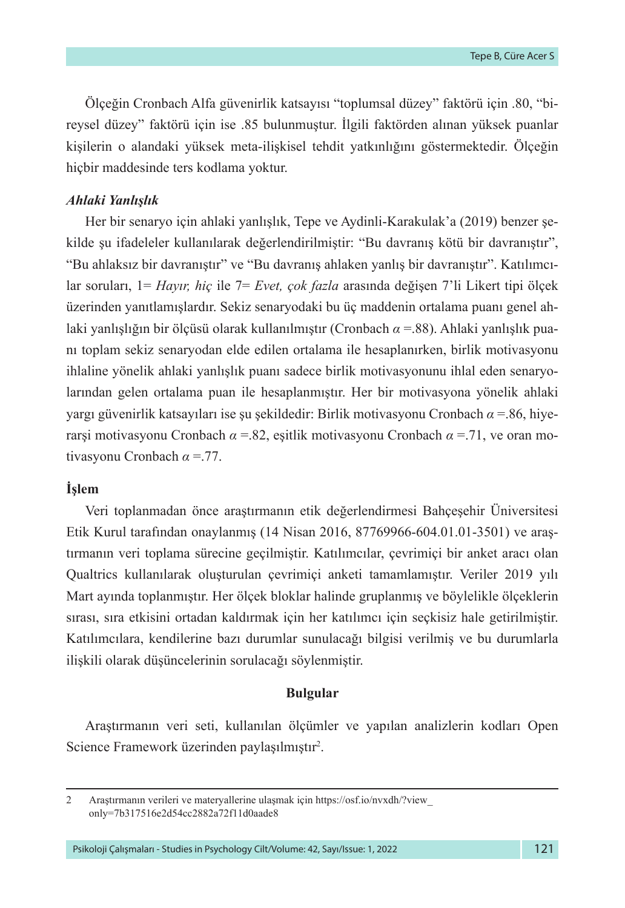Ölçeğin Cronbach Alfa güvenirlik katsayısı "toplumsal düzey" faktörü için .80, "bireysel düzey" faktörü için ise .85 bulunmuştur. İlgili faktörden alınan yüksek puanlar kişilerin o alandaki yüksek meta-ilişkisel tehdit yatkınlığını göstermektedir. Ölçeğin hiçbir maddesinde ters kodlama yoktur.

#### *Ahlaki Yanlışlık*

Her bir senaryo için ahlaki yanlışlık, Tepe ve Aydinli-Karakulak'a (2019) benzer şekilde şu ifadeleler kullanılarak değerlendirilmiştir: "Bu davranış kötü bir davranıştır", "Bu ahlaksız bir davranıştır" ve "Bu davranış ahlaken yanlış bir davranıştır". Katılımcılar soruları, 1= *Hayır, hiç* ile 7= *Evet, çok fazla* arasında değişen 7'li Likert tipi ölçek üzerinden yanıtlamışlardır. Sekiz senaryodaki bu üç maddenin ortalama puanı genel ahlaki yanlışlığın bir ölçüsü olarak kullanılmıştır (Cronbach *α* =.88). Ahlaki yanlışlık puanı toplam sekiz senaryodan elde edilen ortalama ile hesaplanırken, birlik motivasyonu ihlaline yönelik ahlaki yanlışlık puanı sadece birlik motivasyonunu ihlal eden senaryolarından gelen ortalama puan ile hesaplanmıştır. Her bir motivasyona yönelik ahlaki yargı güvenirlik katsayıları ise şu şekildedir: Birlik motivasyonu Cronbach *α* =.86, hiyerarşi motivasyonu Cronbach *α* =.82, eşitlik motivasyonu Cronbach *α* =.71, ve oran motivasyonu Cronbach *α* =.77.

#### **İşlem**

Veri toplanmadan önce araştırmanın etik değerlendirmesi Bahçeşehir Üniversitesi Etik Kurul tarafından onaylanmış (14 Nisan 2016, 87769966-604.01.01-3501) ve araştırmanın veri toplama sürecine geçilmiştir. Katılımcılar, çevrimiçi bir anket aracı olan Qualtrics kullanılarak oluşturulan çevrimiçi anketi tamamlamıştır. Veriler 2019 yılı Mart ayında toplanmıştır. Her ölçek bloklar halinde gruplanmış ve böylelikle ölçeklerin sırası, sıra etkisini ortadan kaldırmak için her katılımcı için seçkisiz hale getirilmiştir. Katılımcılara, kendilerine bazı durumlar sunulacağı bilgisi verilmiş ve bu durumlarla ilişkili olarak düşüncelerinin sorulacağı söylenmiştir.

#### **Bulgular**

Araştırmanın veri seti, kullanılan ölçümler ve yapılan analizlerin kodları Open Science Framework üzerinden paylaşılmıştır<sup>2</sup>.

Psikoloji Çalışmaları - Studies in Psychology Cilt/Volume: 42, Sayı/Issue: 1, 2022 121

<sup>2</sup> Araştırmanın verileri ve materyallerine ulaşmak için [https://osf.io/nvxdh/?view\\_](https://osf.io/nvxdh/?view_only=7b317516e2d54cc2882a72f11d0aade8) [only=7b317516e2d54cc2882a72f11d0aade8](https://osf.io/nvxdh/?view_only=7b317516e2d54cc2882a72f11d0aade8)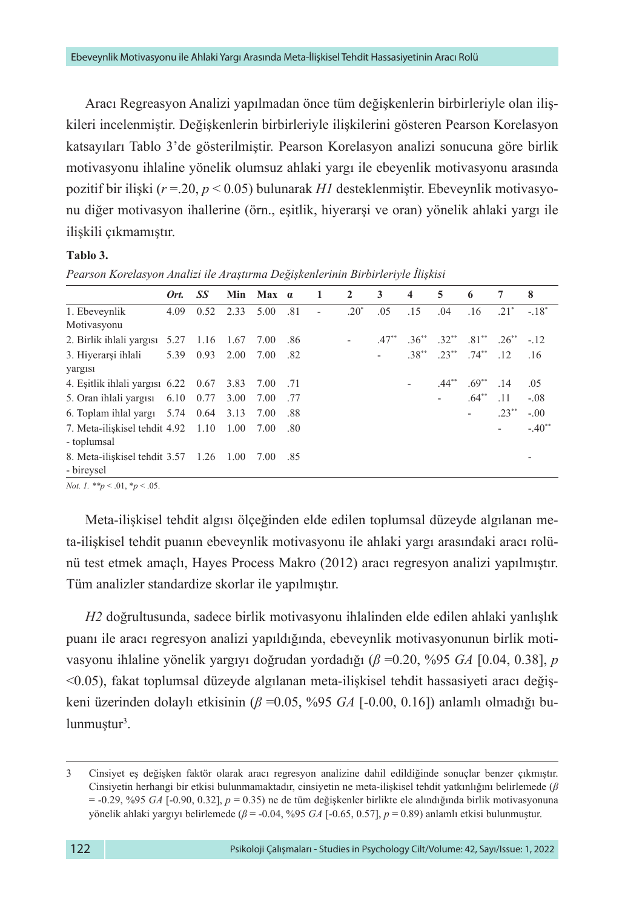Aracı Regreasyon Analizi yapılmadan önce tüm değişkenlerin birbirleriyle olan ilişkileri incelenmiştir. Değişkenlerin birbirleriyle ilişkilerini gösteren Pearson Korelasyon katsayıları Tablo 3'de gösterilmiştir. Pearson Korelasyon analizi sonucuna göre birlik motivasyonu ihlaline yönelik olumsuz ahlaki yargı ile ebeyenlik motivasyonu arasında pozitif bir ilişki (*r* =.20, *p* < 0.05) bulunarak *H1* desteklenmiştir. Ebeveynlik motivasyonu diğer motivasyon ihallerine (örn., eşitlik, hiyerarşi ve oran) yönelik ahlaki yargı ile ilişkili çıkmamıştır.

## **Tablo 3.**

|                                                                      | Ort. | SS        | Min  | Max a    |     | $\blacksquare$ | $\overline{2}$ | 3       | $\overline{\mathbf{4}}$  | 5                     | 6                        | $\tau$                       | 8        |
|----------------------------------------------------------------------|------|-----------|------|----------|-----|----------------|----------------|---------|--------------------------|-----------------------|--------------------------|------------------------------|----------|
| 1. Ebeveynlik                                                        | 4.09 | 0.52      | 2.33 | 5.00     | .81 | ٠              | $.20*$         | .05     | .15                      | .04                   | .16                      | $.21*$                       | $-.18*$  |
| Motivasyonu                                                          |      |           |      |          |     |                |                |         |                          |                       |                          |                              |          |
| 2. Birlik ihlali yargısı                                             |      | 5.27 1.16 | 1.67 | 7.00     | .86 |                | $\sim$         | $.47**$ |                          | $.36^{**}$ $.32^{**}$ |                          | $.81^{**}$ $.26^{**}$ $-.12$ |          |
| 3. Hiyerarşi ihlali                                                  | 5.39 | 0.93      | 2.00 | 7.00     | .82 |                |                |         |                          | $.38^{**}$ $.23^{**}$ | $.74***$                 | .12                          | .16      |
| yargısı                                                              |      |           |      |          |     |                |                |         |                          |                       |                          |                              |          |
| 4. Eşitlik ihlali yargısı 6.22 0.67                                  |      |           | 3.83 | 7.00 .71 |     |                |                |         | $\overline{\phantom{a}}$ | $.44**$               | $.69**$                  | .14                          | .05      |
| 5. Oran ihlali yargısı $6.10$ 0.77                                   |      |           | 3.00 | 7.00 .77 |     |                |                |         |                          |                       | $.64**$                  | .11                          | $-.08$   |
| 6. Toplam ihlal yargı $5.74$ 0.64                                    |      |           | 3.13 | 7.00     | .88 |                |                |         |                          |                       | $\overline{\phantom{a}}$ | $.23**$                      | $-.00$   |
| 7. Meta-iliskisel tehdit $4.92 \quad 1.10 \quad 1.00$<br>- toplumsal |      |           |      | 7.00     | .80 |                |                |         |                          |                       |                          |                              | $-.40**$ |
| 8. Meta-iliskisel tehdit 3.57 1.26 1.00<br>- bireysel                |      |           |      | 7.00 .85 |     |                |                |         |                          |                       |                          |                              |          |
|                                                                      |      |           |      |          |     |                |                |         |                          |                       |                          |                              |          |

*Pearson Korelasyon Analizi ile Araştırma Değişkenlerinin Birbirleriyle İlişkisi*

*Not. 1. \*\*p* < .01, \**p* < .05.

Meta-ilişkisel tehdit algısı ölçeğinden elde edilen toplumsal düzeyde algılanan meta-ilişkisel tehdit puanın ebeveynlik motivasyonu ile ahlaki yargı arasındaki aracı rolünü test etmek amaçlı, Hayes Process Makro (2012) aracı regresyon analizi yapılmıştır. Tüm analizler standardize skorlar ile yapılmıştır.

*H2* doğrultusunda, sadece birlik motivasyonu ihlalinden elde edilen ahlaki yanlışlık puanı ile aracı regresyon analizi yapıldığında, ebeveynlik motivasyonunun birlik motivasyonu ihlaline yönelik yargıyı doğrudan yordadığı (*β* =0.20, %95 *GA* [0.04, 0.38], *p* <0.05), fakat toplumsal düzeyde algılanan meta-ilişkisel tehdit hassasiyeti aracı değişkeni üzerinden dolaylı etkisinin (*β* =0.05, %95 *GA* [-0.00, 0.16]) anlamlı olmadığı bulunmuştur<sup>3</sup>.

<sup>3</sup> Cinsiyet eş değişken faktör olarak aracı regresyon analizine dahil edildiğinde sonuçlar benzer çıkmıştır. Cinsiyetin herhangi bir etkisi bulunmamaktadır, cinsiyetin ne meta-ilişkisel tehdit yatkınlığını belirlemede (*β* = -0.29, %95 *GA* [-0.90, 0.32], *p* = 0.35) ne de tüm değişkenler birlikte ele alındığında birlik motivasyonuna yönelik ahlaki yargıyı belirlemede (*β* = -0.04, %95 *GA* [-0.65, 0.57], *p* = 0.89) anlamlı etkisi bulunmuştur.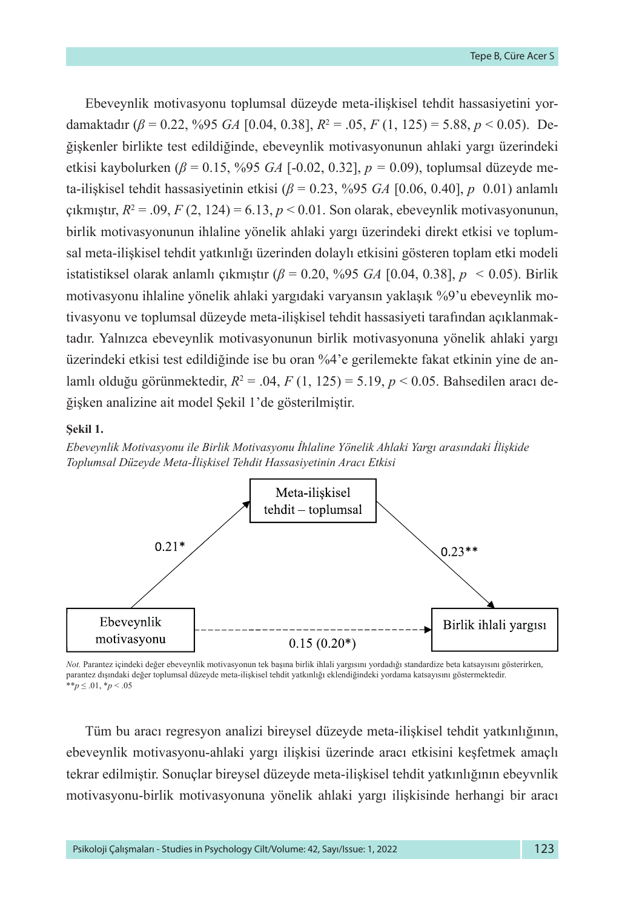Ebeveynlik motivasyonu toplumsal düzeyde meta-ilişkisel tehdit hassasiyetini yordamaktadır (*β* = 0.22, %95 *GA* [0.04, 0.38], *R*<sup>2</sup> = .05, *F* (1, 125) = 5.88, *p* < 0.05). Değişkenler birlikte test edildiğinde, ebeveynlik motivasyonunun ahlaki yargı üzerindeki etkisi kaybolurken (*β* = 0.15, %95 *GA* [-0.02, 0.32], *p =* 0.09), toplumsal düzeyde meta-ilişkisel tehdit hassasiyetinin etkisi (*β* = 0.23, %95 *GA* [0.06, 0.40], *p* 0.01) anlamlı çıkmıştır, *R*<sup>2</sup> = .09, *F* (2, 124) = 6.13, *p* < 0.01. Son olarak, ebeveynlik motivasyonunun, birlik motivasyonunun ihlaline yönelik ahlaki yargı üzerindeki direkt etkisi ve toplumsal meta-ilişkisel tehdit yatkınlığı üzerinden dolaylı etkisini gösteren toplam etki modeli istatistiksel olarak anlamlı çıkmıştır  $(\beta = 0.20, \frac{9.95}{5.64} [0.04, 0.38], p < 0.05)$ . Birlik motivasyonu ihlaline yönelik ahlaki yargıdaki varyansın yaklaşık %9'u ebeveynlik motivasyonu ve toplumsal düzeyde meta-ilişkisel tehdit hassasiyeti tarafından açıklanmaktadır. Yalnızca ebeveynlik motivasyonunun birlik motivasyonuna yönelik ahlaki yargı üzerindeki etkisi test edildiğinde ise bu oran %4'e gerilemekte fakat etkinin yine de anlamlı olduğu görünmektedir, *R*<sup>2</sup> = .04, *F* (1, 125) = 5.19, *p* < 0.05. Bahsedilen aracı değişken analizine ait model Şekil 1'de gösterilmiştir.

#### **Şekil 1.**

*Ebeveynlik Motivasyonu ile Birlik Motivasyonu İhlaline Yönelik Ahlaki Yargı arasındaki İlişkide Toplumsal Düzeyde Meta-İlişkisel Tehdit Hassasiyetinin Aracı Etkisi*



*Not.* Parantez içindeki değer ebeveynlik motivasyonun tek başına birlik ihlali yargısını yordadığı standardize beta katsayısını gösterirken, parantez dışındaki değer toplumsal düzeyde meta-ilişkisel tehdit yatkınlığı eklendiğindeki yordama katsayısını göstermektedir. \*\**p* ≤ .01, \**p* < .05

Tüm bu aracı regresyon analizi bireysel düzeyde meta-ilişkisel tehdit yatkınlığının, ebeveynlik motivasyonu-ahlaki yargı ilişkisi üzerinde aracı etkisini keşfetmek amaçlı tekrar edilmiştir. Sonuçlar bireysel düzeyde meta-ilişkisel tehdit yatkınlığının ebeyvnlik motivasyonu-birlik motivasyonuna yönelik ahlaki yargı ilişkisinde herhangi bir aracı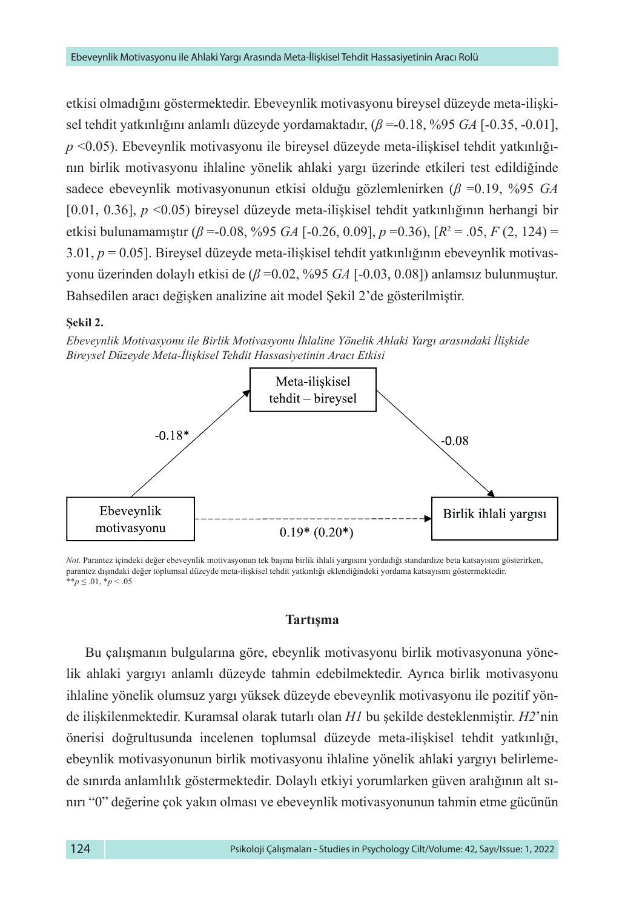etkisi olmadığını göstermektedir. Ebeveynlik motivasyonu bireysel düzeyde meta-ilişkisel tehdit yatkınlığını anlamlı düzeyde yordamaktadır, (*β* =-0.18, %95 *GA* [-0.35, -0.01], *p* <0.05). Ebeveynlik motivasyonu ile bireysel düzeyde meta-ilişkisel tehdit yatkınlığının birlik motivasyonu ihlaline yönelik ahlaki yargı üzerinde etkileri test edildiğinde sadece ebeveynlik motivasyonunun etkisi olduğu gözlemlenirken (*β* =0.19, %95 *GA* [0.01, 0.36], *p* <0.05) bireysel düzeyde meta-ilişkisel tehdit yatkınlığının herhangi bir etkisi bulunamamıştır (*β* =-0.08, %95 *GA* [-0.26, 0.09], *p* =0.36), [*R*<sup>2</sup> = .05, *F* (2, 124) = 3.01, *p* = 0.05]. Bireysel düzeyde meta-ilişkisel tehdit yatkınlığının ebeveynlik motivasyonu üzerinden dolaylı etkisi de (*β* =0.02, %95 *GA* [-0.03, 0.08]) anlamsız bulunmuştur. Bahsedilen aracı değişken analizine ait model Şekil 2'de gösterilmiştir.

#### **Şekil 2.**

*Ebeveynlik Motivasyonu ile Birlik Motivasyonu İhlaline Yönelik Ahlaki Yargı arasındaki İlişkide Bireysel Düzeyde Meta-İlişkisel Tehdit Hassasiyetinin Aracı Etkisi*



*Not.* Parantez içindeki değer ebeveynlik motivasyonun tek başına birlik ihlali yargısını yordadığı standardize beta katsayısını gösterirken, parantez dışındaki değer toplumsal düzeyde meta-ilişkisel tehdit yatkınlığı eklendiğindeki yordama katsayısını göstermektedir. \*\**p* ≤ .01, \**p* < .05

## **Tartışma**

Bu çalışmanın bulgularına göre, ebeynlik motivasyonu birlik motivasyonuna yönelik ahlaki yargıyı anlamlı düzeyde tahmin edebilmektedir. Ayrıca birlik motivasyonu ihlaline yönelik olumsuz yargı yüksek düzeyde ebeveynlik motivasyonu ile pozitif yönde ilişkilenmektedir. Kuramsal olarak tutarlı olan *H1* bu şekilde desteklenmiştir. *H2*'nin önerisi doğrultusunda incelenen toplumsal düzeyde meta-ilişkisel tehdit yatkınlığı, ebeynlik motivasyonunun birlik motivasyonu ihlaline yönelik ahlaki yargıyı belirlemede sınırda anlamlılık göstermektedir. Dolaylı etkiyi yorumlarken güven aralığının alt sınırı "0" değerine çok yakın olması ve ebeveynlik motivasyonunun tahmin etme gücünün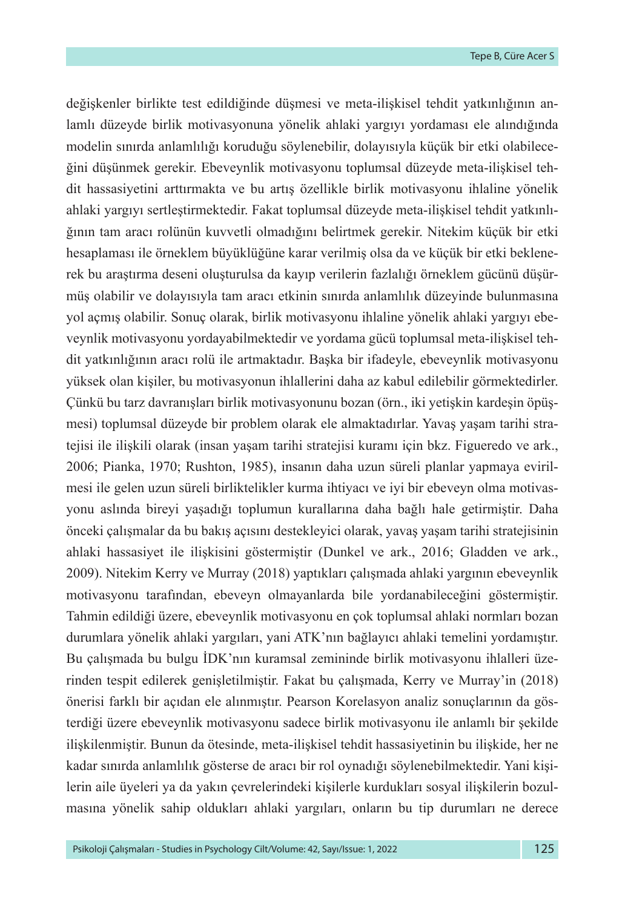değişkenler birlikte test edildiğinde düşmesi ve meta-ilişkisel tehdit yatkınlığının anlamlı düzeyde birlik motivasyonuna yönelik ahlaki yargıyı yordaması ele alındığında modelin sınırda anlamlılığı koruduğu söylenebilir, dolayısıyla küçük bir etki olabileceğini düşünmek gerekir. Ebeveynlik motivasyonu toplumsal düzeyde meta-ilişkisel tehdit hassasiyetini arttırmakta ve bu artış özellikle birlik motivasyonu ihlaline yönelik ahlaki yargıyı sertleştirmektedir. Fakat toplumsal düzeyde meta-ilişkisel tehdit yatkınlığının tam aracı rolünün kuvvetli olmadığını belirtmek gerekir. Nitekim küçük bir etki hesaplaması ile örneklem büyüklüğüne karar verilmiş olsa da ve küçük bir etki beklenerek bu araştırma deseni oluşturulsa da kayıp verilerin fazlalığı örneklem gücünü düşürmüş olabilir ve dolayısıyla tam aracı etkinin sınırda anlamlılık düzeyinde bulunmasına yol açmış olabilir. Sonuç olarak, birlik motivasyonu ihlaline yönelik ahlaki yargıyı ebeveynlik motivasyonu yordayabilmektedir ve yordama gücü toplumsal meta-ilişkisel tehdit yatkınlığının aracı rolü ile artmaktadır. Başka bir ifadeyle, ebeveynlik motivasyonu yüksek olan kişiler, bu motivasyonun ihlallerini daha az kabul edilebilir görmektedirler. Çünkü bu tarz davranışları birlik motivasyonunu bozan (örn., iki yetişkin kardeşin öpüşmesi) toplumsal düzeyde bir problem olarak ele almaktadırlar. Yavaş yaşam tarihi stratejisi ile ilişkili olarak (insan yaşam tarihi stratejisi kuramı için bkz. Figueredo ve ark., 2006; Pianka, 1970; Rushton, 1985), insanın daha uzun süreli planlar yapmaya evirilmesi ile gelen uzun süreli birliktelikler kurma ihtiyacı ve iyi bir ebeveyn olma motivasyonu aslında bireyi yaşadığı toplumun kurallarına daha bağlı hale getirmiştir. Daha önceki çalışmalar da bu bakış açısını destekleyici olarak, yavaş yaşam tarihi stratejisinin ahlaki hassasiyet ile ilişkisini göstermiştir (Dunkel ve ark., 2016; Gladden ve ark., 2009). Nitekim Kerry ve Murray (2018) yaptıkları çalışmada ahlaki yargının ebeveynlik motivasyonu tarafından, ebeveyn olmayanlarda bile yordanabileceğini göstermiştir. Tahmin edildiği üzere, ebeveynlik motivasyonu en çok toplumsal ahlaki normları bozan durumlara yönelik ahlaki yargıları, yani ATK'nın bağlayıcı ahlaki temelini yordamıştır. Bu çalışmada bu bulgu İDK'nın kuramsal zemininde birlik motivasyonu ihlalleri üzerinden tespit edilerek genişletilmiştir. Fakat bu çalışmada, Kerry ve Murray'in (2018) önerisi farklı bir açıdan ele alınmıştır. Pearson Korelasyon analiz sonuçlarının da gösterdiği üzere ebeveynlik motivasyonu sadece birlik motivasyonu ile anlamlı bir şekilde ilişkilenmiştir. Bunun da ötesinde, meta-ilişkisel tehdit hassasiyetinin bu ilişkide, her ne kadar sınırda anlamlılık gösterse de aracı bir rol oynadığı söylenebilmektedir. Yani kişilerin aile üyeleri ya da yakın çevrelerindeki kişilerle kurdukları sosyal ilişkilerin bozulmasına yönelik sahip oldukları ahlaki yargıları, onların bu tip durumları ne derece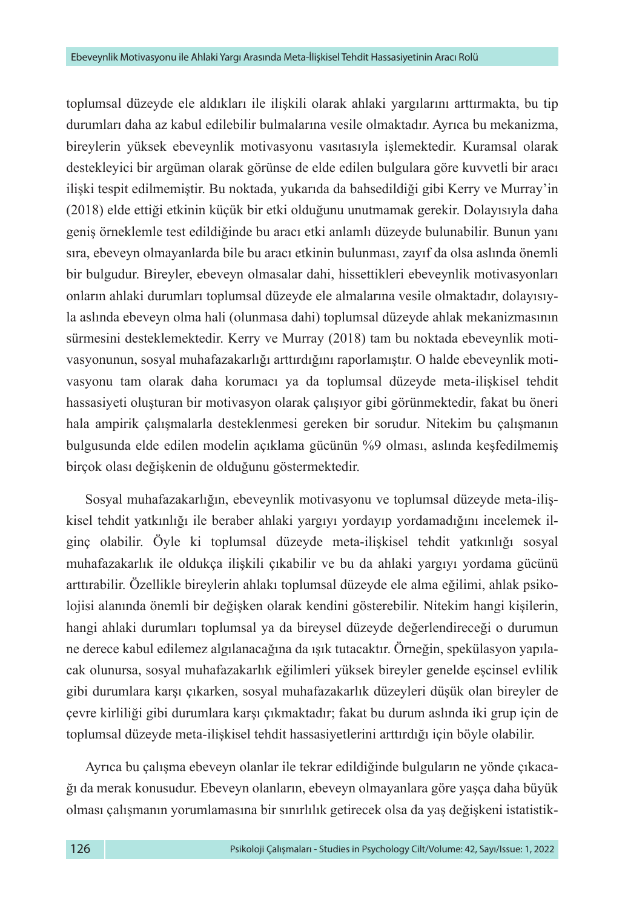toplumsal düzeyde ele aldıkları ile ilişkili olarak ahlaki yargılarını arttırmakta, bu tip durumları daha az kabul edilebilir bulmalarına vesile olmaktadır. Ayrıca bu mekanizma, bireylerin yüksek ebeveynlik motivasyonu vasıtasıyla işlemektedir. Kuramsal olarak destekleyici bir argüman olarak görünse de elde edilen bulgulara göre kuvvetli bir aracı ilişki tespit edilmemiştir. Bu noktada, yukarıda da bahsedildiği gibi Kerry ve Murray'in (2018) elde ettiği etkinin küçük bir etki olduğunu unutmamak gerekir. Dolayısıyla daha geniş örneklemle test edildiğinde bu aracı etki anlamlı düzeyde bulunabilir. Bunun yanı sıra, ebeveyn olmayanlarda bile bu aracı etkinin bulunması, zayıf da olsa aslında önemli bir bulgudur. Bireyler, ebeveyn olmasalar dahi, hissettikleri ebeveynlik motivasyonları onların ahlaki durumları toplumsal düzeyde ele almalarına vesile olmaktadır, dolayısıyla aslında ebeveyn olma hali (olunmasa dahi) toplumsal düzeyde ahlak mekanizmasının sürmesini desteklemektedir. Kerry ve Murray (2018) tam bu noktada ebeveynlik motivasyonunun, sosyal muhafazakarlığı arttırdığını raporlamıştır. O halde ebeveynlik motivasyonu tam olarak daha korumacı ya da toplumsal düzeyde meta-ilişkisel tehdit hassasiyeti oluşturan bir motivasyon olarak çalışıyor gibi görünmektedir, fakat bu öneri hala ampirik çalışmalarla desteklenmesi gereken bir sorudur. Nitekim bu çalışmanın bulgusunda elde edilen modelin açıklama gücünün %9 olması, aslında keşfedilmemiş birçok olası değişkenin de olduğunu göstermektedir.

Sosyal muhafazakarlığın, ebeveynlik motivasyonu ve toplumsal düzeyde meta-ilişkisel tehdit yatkınlığı ile beraber ahlaki yargıyı yordayıp yordamadığını incelemek ilginç olabilir. Öyle ki toplumsal düzeyde meta-ilişkisel tehdit yatkınlığı sosyal muhafazakarlık ile oldukça ilişkili çıkabilir ve bu da ahlaki yargıyı yordama gücünü arttırabilir. Özellikle bireylerin ahlakı toplumsal düzeyde ele alma eğilimi, ahlak psikolojisi alanında önemli bir değişken olarak kendini gösterebilir. Nitekim hangi kişilerin, hangi ahlaki durumları toplumsal ya da bireysel düzeyde değerlendireceği o durumun ne derece kabul edilemez algılanacağına da ışık tutacaktır. Örneğin, spekülasyon yapılacak olunursa, sosyal muhafazakarlık eğilimleri yüksek bireyler genelde eşcinsel evlilik gibi durumlara karşı çıkarken, sosyal muhafazakarlık düzeyleri düşük olan bireyler de çevre kirliliği gibi durumlara karşı çıkmaktadır; fakat bu durum aslında iki grup için de toplumsal düzeyde meta-ilişkisel tehdit hassasiyetlerini arttırdığı için böyle olabilir.

Ayrıca bu çalışma ebeveyn olanlar ile tekrar edildiğinde bulguların ne yönde çıkacağı da merak konusudur. Ebeveyn olanların, ebeveyn olmayanlara göre yaşça daha büyük olması çalışmanın yorumlamasına bir sınırlılık getirecek olsa da yaş değişkeni istatistik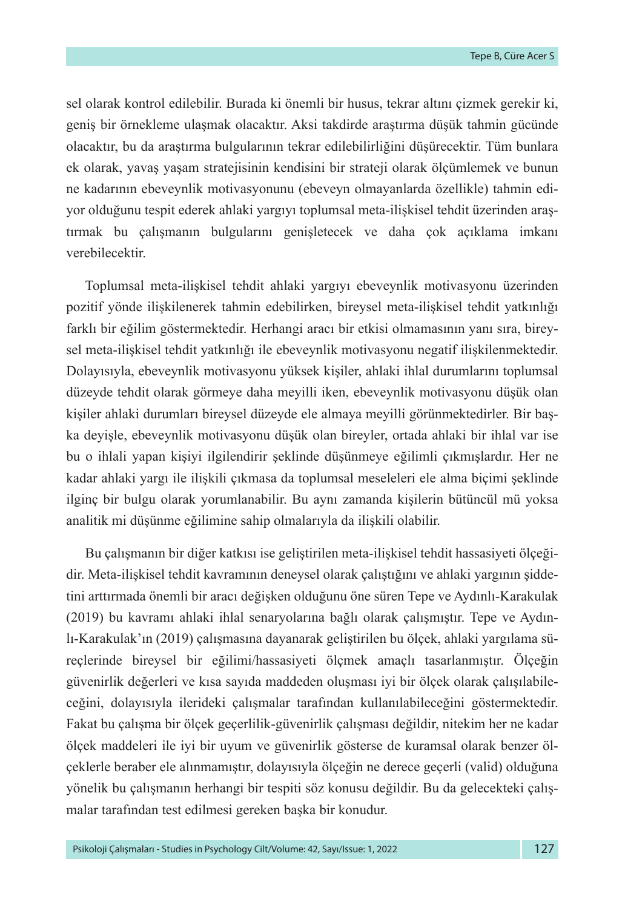sel olarak kontrol edilebilir. Burada ki önemli bir husus, tekrar altını çizmek gerekir ki, geniş bir örnekleme ulaşmak olacaktır. Aksi takdirde araştırma düşük tahmin gücünde olacaktır, bu da araştırma bulgularının tekrar edilebilirliğini düşürecektir. Tüm bunlara ek olarak, yavaş yaşam stratejisinin kendisini bir strateji olarak ölçümlemek ve bunun ne kadarının ebeveynlik motivasyonunu (ebeveyn olmayanlarda özellikle) tahmin ediyor olduğunu tespit ederek ahlaki yargıyı toplumsal meta-ilişkisel tehdit üzerinden araştırmak bu çalışmanın bulgularını genişletecek ve daha çok açıklama imkanı verebilecektir.

Toplumsal meta-ilişkisel tehdit ahlaki yargıyı ebeveynlik motivasyonu üzerinden pozitif yönde ilişkilenerek tahmin edebilirken, bireysel meta-ilişkisel tehdit yatkınlığı farklı bir eğilim göstermektedir. Herhangi aracı bir etkisi olmamasının yanı sıra, bireysel meta-ilişkisel tehdit yatkınlığı ile ebeveynlik motivasyonu negatif ilişkilenmektedir. Dolayısıyla, ebeveynlik motivasyonu yüksek kişiler, ahlaki ihlal durumlarını toplumsal düzeyde tehdit olarak görmeye daha meyilli iken, ebeveynlik motivasyonu düşük olan kişiler ahlaki durumları bireysel düzeyde ele almaya meyilli görünmektedirler. Bir başka deyişle, ebeveynlik motivasyonu düşük olan bireyler, ortada ahlaki bir ihlal var ise bu o ihlali yapan kişiyi ilgilendirir şeklinde düşünmeye eğilimli çıkmışlardır. Her ne kadar ahlaki yargı ile ilişkili çıkmasa da toplumsal meseleleri ele alma biçimi şeklinde ilginç bir bulgu olarak yorumlanabilir. Bu aynı zamanda kişilerin bütüncül mü yoksa analitik mi düşünme eğilimine sahip olmalarıyla da ilişkili olabilir.

Bu çalışmanın bir diğer katkısı ise geliştirilen meta-ilişkisel tehdit hassasiyeti ölçeğidir. Meta-ilişkisel tehdit kavramının deneysel olarak çalıştığını ve ahlaki yargının şiddetini arttırmada önemli bir aracı değişken olduğunu öne süren Tepe ve Aydınlı-Karakulak (2019) bu kavramı ahlaki ihlal senaryolarına bağlı olarak çalışmıştır. Tepe ve Aydınlı-Karakulak'ın (2019) çalışmasına dayanarak geliştirilen bu ölçek, ahlaki yargılama süreçlerinde bireysel bir eğilimi/hassasiyeti ölçmek amaçlı tasarlanmıştır. Ölçeğin güvenirlik değerleri ve kısa sayıda maddeden oluşması iyi bir ölçek olarak çalışılabileceğini, dolayısıyla ilerideki çalışmalar tarafından kullanılabileceğini göstermektedir. Fakat bu çalışma bir ölçek geçerlilik-güvenirlik çalışması değildir, nitekim her ne kadar ölçek maddeleri ile iyi bir uyum ve güvenirlik gösterse de kuramsal olarak benzer ölçeklerle beraber ele alınmamıştır, dolayısıyla ölçeğin ne derece geçerli (valid) olduğuna yönelik bu çalışmanın herhangi bir tespiti söz konusu değildir. Bu da gelecekteki çalışmalar tarafından test edilmesi gereken başka bir konudur.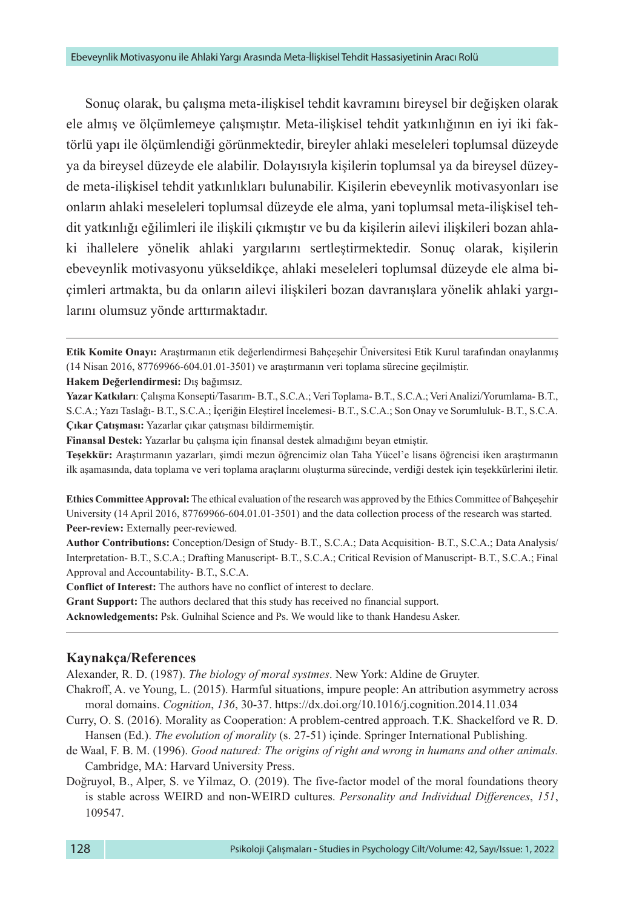Sonuç olarak, bu çalışma meta-ilişkisel tehdit kavramını bireysel bir değişken olarak ele almış ve ölçümlemeye çalışmıştır. Meta-ilişkisel tehdit yatkınlığının en iyi iki faktörlü yapı ile ölçümlendiği görünmektedir, bireyler ahlaki meseleleri toplumsal düzeyde ya da bireysel düzeyde ele alabilir. Dolayısıyla kişilerin toplumsal ya da bireysel düzeyde meta-ilişkisel tehdit yatkınlıkları bulunabilir. Kişilerin ebeveynlik motivasyonları ise onların ahlaki meseleleri toplumsal düzeyde ele alma, yani toplumsal meta-ilişkisel tehdit yatkınlığı eğilimleri ile ilişkili çıkmıştır ve bu da kişilerin ailevi ilişkileri bozan ahlaki ihallelere yönelik ahlaki yargılarını sertleştirmektedir. Sonuç olarak, kişilerin ebeveynlik motivasyonu yükseldikçe, ahlaki meseleleri toplumsal düzeyde ele alma biçimleri artmakta, bu da onların ailevi ilişkileri bozan davranışlara yönelik ahlaki yargılarını olumsuz yönde arttırmaktadır.

**Etik Komite Onayı:** Araştırmanın etik değerlendirmesi Bahçeşehir Üniversitesi Etik Kurul tarafından onaylanmış (14 Nisan 2016, 87769966-604.01.01-3501) ve araştırmanın veri toplama sürecine geçilmiştir.

**Hakem Değerlendirmesi:** Dış bağımsız.

**Yazar Katkıları**: Çalışma Konsepti/Tasarım- B.T., S.C.A.; Veri Toplama- B.T., S.C.A.; Veri Analizi/Yorumlama- B.T., S.C.A.; Yazı Taslağı- B.T., S.C.A.; İçeriğin Eleştirel İncelemesi- B.T., S.C.A.; Son Onay ve Sorumluluk- B.T., S.C.A. **Çıkar Çatışması:** Yazarlar çıkar çatışması bildirmemiştir.

**Finansal Destek:** Yazarlar bu çalışma için finansal destek almadığını beyan etmiştir.

**Teşekkür:** Araştırmanın yazarları, şimdi mezun öğrencimiz olan Taha Yücel'e lisans öğrencisi iken araştırmanın ilk aşamasında, data toplama ve veri toplama araçlarını oluşturma sürecinde, verdiği destek için teşekkürlerini iletir.

**Ethics Committee Approval:** The ethical evaluation of the research was approved by the Ethics Committee of Bahçeşehir University (14 April 2016, 87769966-604.01.01-3501) and the data collection process of the research was started. **Peer-review:** Externally peer-reviewed.

**Author Contributions:** Conception/Design of Study- B.T., S.C.A.; Data Acquisition- B.T., S.C.A.; Data Analysis/ Interpretation- B.T., S.C.A.; Drafting Manuscript- B.T., S.C.A.; Critical Revision of Manuscript- B.T., S.C.A.; Final Approval and Accountability- B.T., S.C.A.

**Conflict of Interest:** The authors have no conflict of interest to declare.

**Grant Support:** The authors declared that this study has received no financial support.

**Acknowledgements:** Psk. Gulnihal Science and Ps. We would like to thank Handesu Asker.

#### **Kaynakça/References**

Alexander, R. D. (1987). *The biology of moral systmes*. New York: Aldine de Gruyter.

Chakroff, A. ve Young, L. (2015). Harmful situations, impure people: An attribution asymmetry across moral domains. *Cognition*, *136*, 30-37.<https://dx.doi.org/10.1016/j.cognition.2014.11.034>

- Curry, O. S. (2016). Morality as Cooperation: A problem-centred approach. T.K. Shackelford ve R. D. Hansen (Ed.). *The evolution of morality* (s. 27-51) içinde. Springer International Publishing.
- de Waal, F. B. M. (1996). *Good natured: The origins of right and wrong in humans and other animals.*  Cambridge, MA: Harvard University Press.
- Doğruyol, B., Alper, S. ve Yilmaz, O. (2019). The five-factor model of the moral foundations theory is stable across WEIRD and non-WEIRD cultures. *Personality and Individual Differences*, *151*, 109547.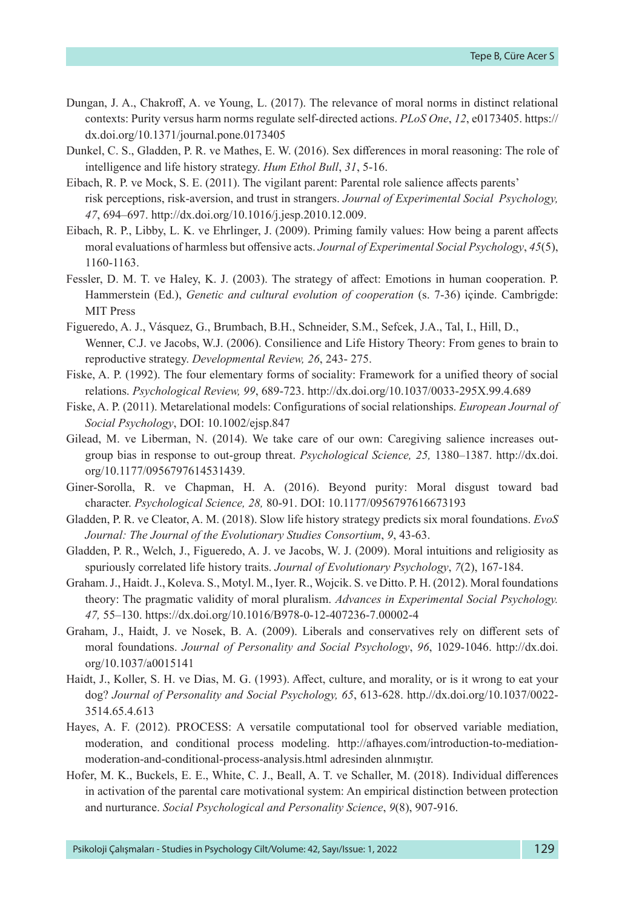- Dungan, J. A., Chakroff, A. ve Young, L. (2017). The relevance of moral norms in distinct relational contexts: Purity versus harm norms regulate self-directed actions. *PLoS One*, *12*, e0173405. https:// dx.doi.org/10.1371/journal.pone.0173405
- Dunkel, C. S., Gladden, P. R. ve Mathes, E. W. (2016). Sex differences in moral reasoning: The role of intelligence and life history strategy. *Hum Ethol Bull*, *31*, 5-16.
- Eibach, R. P. ve Mock, S. E. (2011). The vigilant parent: Parental role salience affects parents' risk perceptions, risk-aversion, and trust in strangers. *Journal of Experimental Social Psychology, 47*, 694–697. http://dx.doi.org/10.1016/j.jesp.2010.12.009.
- Eibach, R. P., Libby, L. K. ve Ehrlinger, J. (2009). Priming family values: How being a parent affects moral evaluations of harmless but offensive acts. *Journal of Experimental Social Psychology*, *45*(5), 1160-1163.
- Fessler, D. M. T. ve Haley, K. J. (2003). The strategy of affect: Emotions in human cooperation. P. Hammerstein (Ed.), *Genetic and cultural evolution of cooperation* (s. 7-36) içinde. Cambrigde: MIT Press
- Figueredo, A. J., Vásquez, G., Brumbach, B.H., Schneider, S.M., Sefcek, J.A., Tal, I., Hill, D., Wenner, C.J. ve Jacobs, W.J. (2006). Consilience and Life History Theory: From genes to brain to reproductive strategy. *Developmental Review, 26*, 243- 275.
- Fiske, A. P. (1992). The four elementary forms of sociality: Framework for a unified theory of social relations. *Psychological Review, 99*, 689-723. http://dx.doi.org/10.1037/0033-295X.99.4.689
- Fiske, A. P. (2011). Metarelational models: Configurations of social relationships. *European Journal of Social Psychology*, DOI: 10.1002/ejsp.847
- Gilead, M. ve Liberman, N. (2014). We take care of our own: Caregiving salience increases outgroup bias in response to out-group threat. *Psychological Science, 25,* 1380–1387. [http://dx.doi.](http://dx.doi.org/10.1177/0956797614531439) [org/10.1177/0956797614531439.](http://dx.doi.org/10.1177/0956797614531439)
- Giner-Sorolla, R. ve Chapman, H. A. (2016). Beyond purity: Moral disgust toward bad character. *Psychological Science, 28,* 80-91. DOI: 10.1177/0956797616673193
- Gladden, P. R. ve Cleator, A. M. (2018). Slow life history strategy predicts six moral foundations. *EvoS Journal: The Journal of the Evolutionary Studies Consortium*, *9*, 43-63.
- Gladden, P. R., Welch, J., Figueredo, A. J. ve Jacobs, W. J. (2009). Moral intuitions and religiosity as spuriously correlated life history traits. *Journal of Evolutionary Psychology*, *7*(2), 167-184.
- Graham. J., Haidt. J., Koleva. S., Motyl. M., Iyer. R., Wojcik. S. ve Ditto. P. H. (2012). Moral foundations theory: The pragmatic validity of moral pluralism. *Advances in Experimental Social Psychology. 47,* 55–130. <https://dx.doi.org/10.1016/B978-0-12-407236-7.00002-4>
- Graham, J., Haidt, J. ve Nosek, B. A. (2009). Liberals and conservatives rely on different sets of moral foundations. *Journal of Personality and Social Psychology*, *96*, 1029-1046. http://dx.doi. org/10.1037/a0015141
- Haidt, J., Koller, S. H. ve Dias, M. G. (1993). Affect, culture, and morality, or is it wrong to eat your dog? *Journal of Personality and Social Psychology, 65*, 613-628. http.//dx.doi.org/10.1037/0022- 3514.65.4.613
- Hayes, A. F. (2012). PROCESS: A versatile computational tool for observed variable mediation, moderation, and conditional process modeling. [http://afhayes.com/introduction-to-mediation](http://afhayes.com/introduction-to-mediation-moderation-and-conditional-process-analysis.html)[moderation-and-conditional-process-analysis.html](http://afhayes.com/introduction-to-mediation-moderation-and-conditional-process-analysis.html) adresinden alınmıştır.
- Hofer, M. K., Buckels, E. E., White, C. J., Beall, A. T. ve Schaller, M. (2018). Individual differences in activation of the parental care motivational system: An empirical distinction between protection and nurturance. *Social Psychological and Personality Science*, *9*(8), 907-916.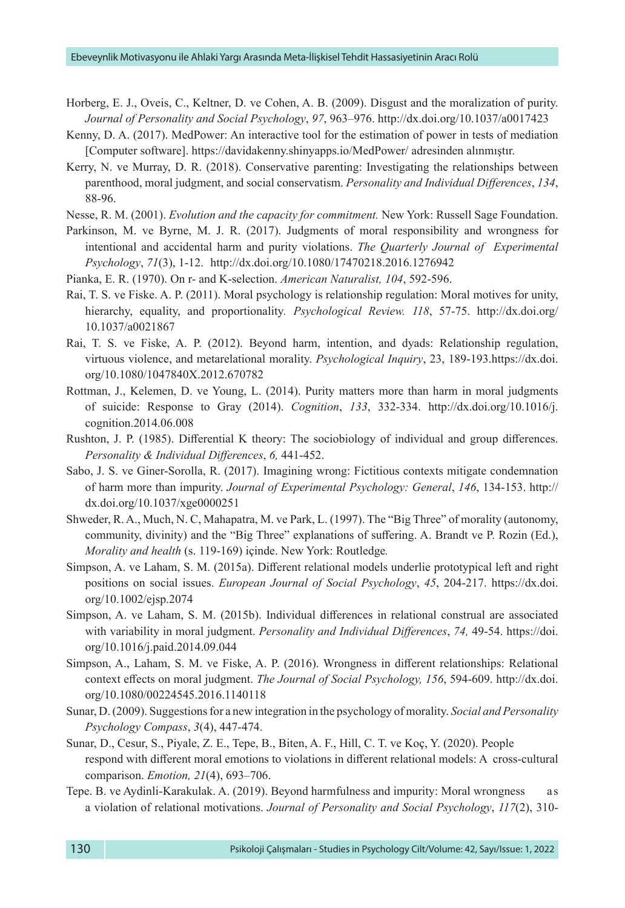- Horberg, E. J., Oveis, C., Keltner, D. ve Cohen, A. B. (2009). Disgust and the moralization of purity. *Journal of Personality and Social Psychology*, *97*, 963–976. http://dx.doi.org/10.1037/a0017423
- Kenny, D. A. (2017). MedPower: An interactive tool for the estimation of power in tests of mediation [Computer software]. <https://davidakenny.shinyapps.io/MedPower/>adresinden alınmıştır.
- Kerry, N. ve Murray, D. R. (2018). Conservative parenting: Investigating the relationships between parenthood, moral judgment, and social conservatism. *Personality and Individual Differences*, *134*, 88-96.

Nesse, R. M. (2001). *Evolution and the capacity for commitment.* New York: Russell Sage Foundation.

- Parkinson, M. ve Byrne, M. J. R. (2017). Judgments of moral responsibility and wrongness for intentional and accidental harm and purity violations. *The Quarterly Journal of Experimental Psychology*, *71*(3), 1-12. <http://dx.doi.org/10.1080/17470218.2016.1276942>
- Pianka, E. R. (1970). On r- and K-selection. *American Naturalist, 104*, 592-596.
- Rai, T. S. ve Fiske. A. P. (2011). Moral psychology is relationship regulation: Moral motives for unity, hierarchy, equality, and proportionality*. Psychological Review. 118*, 57-75. http://dx.doi.org/ 10.1037/a0021867
- Rai, T. S. ve Fiske, A. P. (2012). Beyond harm, intention, and dyads: Relationship regulation, virtuous violence, and metarelational morality. *Psychological Inquiry*, 23, 189-193[.https://dx.doi.](https://dx.doi.org/10.1080/1047840X.2012.670782) [org/10.1080/1047840X.2012.670782](https://dx.doi.org/10.1080/1047840X.2012.670782)
- Rottman, J., Kelemen, D. ve Young, L. (2014). Purity matters more than harm in moral judgments of suicide: Response to Gray (2014). *Cognition*, *133*, 332-334. http://dx.doi.org/10.1016/j. cognition.2014.06.008
- Rushton, J. P. (1985). Differential K theory: The sociobiology of individual and group differences. *Personality & Individual Differences*, *6,* 441-452.
- Sabo, J. S. ve Giner-Sorolla, R. (2017). Imagining wrong: Fictitious contexts mitigate condemnation of harm more than impurity. *Journal of Experimental Psychology: General*, *146*, 134-153. http:// dx.doi.org/10.1037/xge0000251
- Shweder, R. A., Much, N. C, Mahapatra, M. ve Park, L. (1997). The "Big Three" of morality (autonomy, community, divinity) and the "Big Three" explanations of suffering. A. Brandt ve P. Rozin (Ed.), *Morality and health* (s. 119-169) içinde. New York: Routledge*.*
- Simpson, A. ve Laham, S. M. (2015a). Different relational models underlie prototypical left and right positions on social issues. *European Journal of Social Psychology*, *45*, 204-217. [https://dx.doi.](https://dx.doi.org/10.1002/ejsp.2074) [org/10.1002/ejsp.2074](https://dx.doi.org/10.1002/ejsp.2074)
- Simpson, A. ve Laham, S. M. (2015b). Individual differences in relational construal are associated with variability in moral judgment. *Personality and Individual Differences*, *74,* 49-54. [https://doi.](https://doi.org/10.1016/j.paid.2014.09.044) [org/10.1016/j.paid.2014.09.044](https://doi.org/10.1016/j.paid.2014.09.044)
- Simpson, A., Laham, S. M. ve Fiske, A. P. (2016). Wrongness in different relationships: Relational context effects on moral judgment. *The Journal of Social Psychology, 156*, 594-609. http://dx.doi. org[/10.1080/00224545.2016.1140118](https://doi.org/10.1080/00224545.2016.1140118)
- Sunar, D. (2009). Suggestions for a new integration in the psychology of morality. *Social and Personality Psychology Compass*, *3*(4), 447-474.
- Sunar, D., Cesur, S., Piyale, Z. E., Tepe, B., Biten, A. F., Hill, C. T. ve Koç, Y. (2020). People respond with different moral emotions to violations in different relational models: A cross-cultural comparison. *Emotion, 21*(4), 693–706.
- Tepe. B. ve Aydinli-Karakulak. A. (2019). Beyond harmfulness and impurity: Moral wrongness as a violation of relational motivations. *Journal of Personality and Social Psychology*, *117*(2), 310-